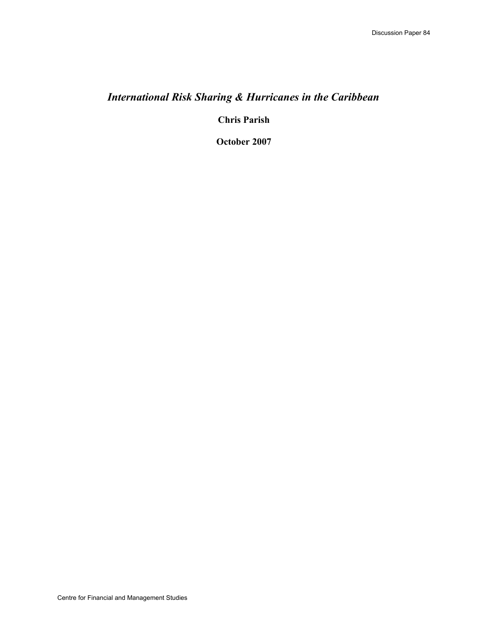# *International Risk Sharing & Hurricanes in the Caribbean*

**Chris Parish**

**October 2007**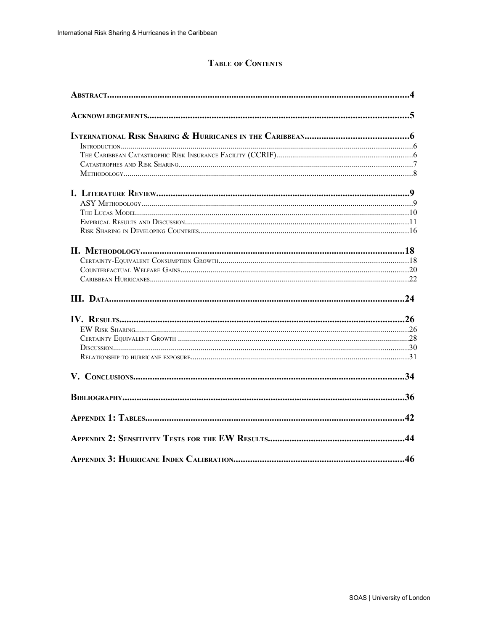## **TABLE OF CONTENTS**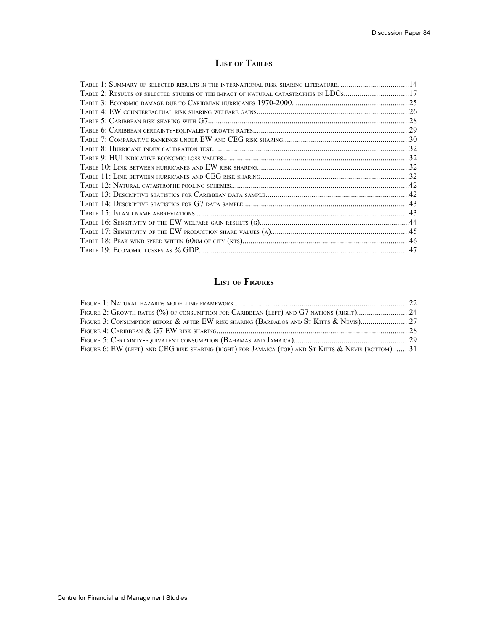## **LIST OF TABLES**

| TABLE 1: SUMMARY OF SELECTED RESULTS IN THE INTERNATIONAL RISK-SHARING LITERATURE. 14 |  |
|---------------------------------------------------------------------------------------|--|
| TABLE 2: RESULTS OF SELECTED STUDIES OF THE IMPACT OF NATURAL CATASTROPHES IN LDCS17  |  |
|                                                                                       |  |
|                                                                                       |  |
|                                                                                       |  |
|                                                                                       |  |
|                                                                                       |  |
|                                                                                       |  |
|                                                                                       |  |
|                                                                                       |  |
|                                                                                       |  |
|                                                                                       |  |
|                                                                                       |  |
|                                                                                       |  |
|                                                                                       |  |
|                                                                                       |  |
|                                                                                       |  |
|                                                                                       |  |
|                                                                                       |  |

## **LIST OF FIGURES**

| FIGURE 2: GROWTH RATES (%) OF CONSUMPTION FOR CARIBBEAN (LEFT) AND G7 NATIONS (RIGHT)24            |  |
|----------------------------------------------------------------------------------------------------|--|
| FIGURE 3: CONSUMPTION BEFORE & AFTER EW RISK SHARING (BARBADOS AND ST KITTS & NEVIS)27             |  |
|                                                                                                    |  |
|                                                                                                    |  |
| FIGURE 6: EW (LEFT) AND CEG RISK SHARING (RIGHT) FOR JAMAICA (TOP) AND ST KITTS & NEVIS (BOTTOM)31 |  |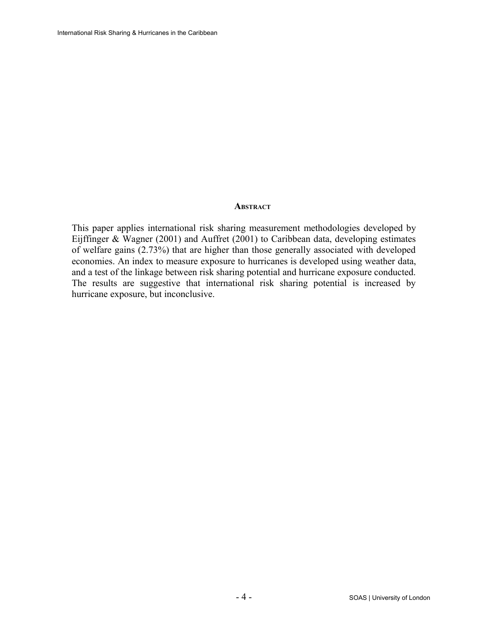### **ABSTRACT**

This paper applies international risk sharing measurement methodologies developed by Eijffinger & Wagner (2001) and Auffret (2001) to Caribbean data, developing estimates of welfare gains (2.73%) that are higher than those generally associated with developed economies. An index to measure exposure to hurricanes is developed using weather data, and a test of the linkage between risk sharing potential and hurricane exposure conducted. The results are suggestive that international risk sharing potential is increased by hurricane exposure, but inconclusive.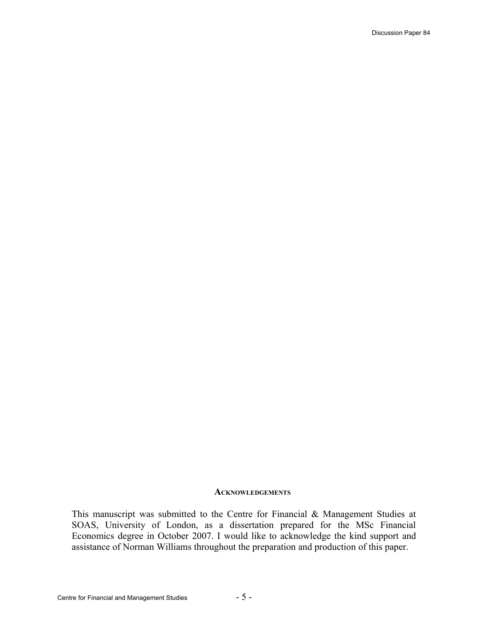#### **ACKNOWLEDGEMENTS**

This manuscript was submitted to the Centre for Financial & Management Studies at SOAS, University of London, as a dissertation prepared for the MSc Financial Economics degree in October 2007. I would like to acknowledge the kind support and assistance of Norman Williams throughout the preparation and production of this paper.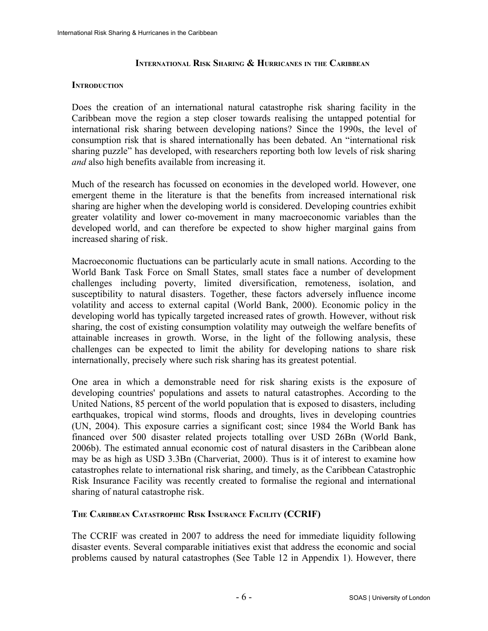### **INTERNATIONAL RISK SHARING & HURRICANES IN THE CARIBBEAN**

#### **INTRODUCTION**

Does the creation of an international natural catastrophe risk sharing facility in the Caribbean move the region a step closer towards realising the untapped potential for international risk sharing between developing nations? Since the 1990s, the level of consumption risk that is shared internationally has been debated. An "international risk sharing puzzle" has developed, with researchers reporting both low levels of risk sharing *and* also high benefits available from increasing it.

Much of the research has focussed on economies in the developed world. However, one emergent theme in the literature is that the benefits from increased international risk sharing are higher when the developing world is considered. Developing countries exhibit greater volatility and lower co-movement in many macroeconomic variables than the developed world, and can therefore be expected to show higher marginal gains from increased sharing of risk.

Macroeconomic fluctuations can be particularly acute in small nations. According to the World Bank Task Force on Small States, small states face a number of development challenges including poverty, limited diversification, remoteness, isolation, and susceptibility to natural disasters. Together, these factors adversely influence income volatility and access to external capital (World Bank, 2000). Economic policy in the developing world has typically targeted increased rates of growth. However, without risk sharing, the cost of existing consumption volatility may outweigh the welfare benefits of attainable increases in growth. Worse, in the light of the following analysis, these challenges can be expected to limit the ability for developing nations to share risk internationally, precisely where such risk sharing has its greatest potential.

One area in which a demonstrable need for risk sharing exists is the exposure of developing countries' populations and assets to natural catastrophes. According to the United Nations, 85 percent of the world population that is exposed to disasters, including earthquakes, tropical wind storms, floods and droughts, lives in developing countries (UN, 2004). This exposure carries a significant cost; since 1984 the World Bank has financed over 500 disaster related projects totalling over USD 26Bn (World Bank, 2006b). The estimated annual economic cost of natural disasters in the Caribbean alone may be as high as USD 3.3Bn (Charveriat, 2000). Thus is it of interest to examine how catastrophes relate to international risk sharing, and timely, as the Caribbean Catastrophic Risk Insurance Facility was recently created to formalise the regional and international sharing of natural catastrophe risk.

### **THE CARIBBEAN CATASTROPHIC RISK INSURANCE FACILITY (CCRIF)**

The CCRIF was created in 2007 to address the need for immediate liquidity following disaster events. Several comparable initiatives exist that address the economic and social problems caused by natural catastrophes (See [Table 12](#page-41-0) in [Appendix 1\)](#page-41-1). However, there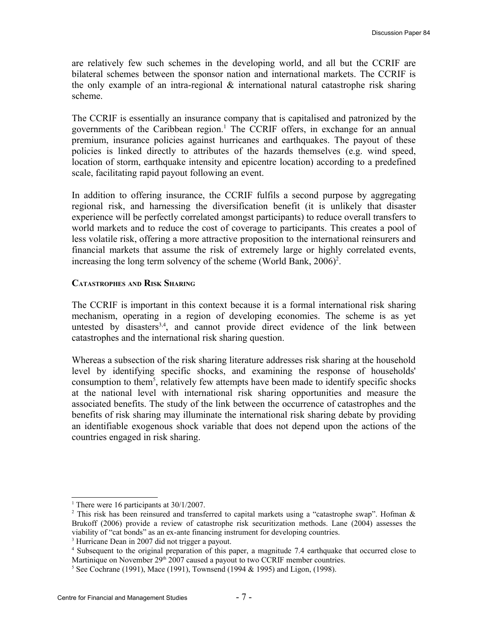are relatively few such schemes in the developing world, and all but the CCRIF are bilateral schemes between the sponsor nation and international markets. The CCRIF is the only example of an intra-regional & international natural catastrophe risk sharing scheme.

The CCRIF is essentially an insurance company that is capitalised and patronized by the governments of the Caribbean region.<sup>[1](#page-6-0)</sup> The CCRIF offers, in exchange for an annual premium, insurance policies against hurricanes and earthquakes. The payout of these policies is linked directly to attributes of the hazards themselves (e.g. wind speed, location of storm, earthquake intensity and epicentre location) according to a predefined scale, facilitating rapid payout following an event.

In addition to offering insurance, the CCRIF fulfils a second purpose by aggregating regional risk, and harnessing the diversification benefit (it is unlikely that disaster experience will be perfectly correlated amongst participants) to reduce overall transfers to world markets and to reduce the cost of coverage to participants. This creates a pool of less volatile risk, offering a more attractive proposition to the international reinsurers and financial markets that assume the risk of extremely large or highly correlated events, increasing the long term solvency of the scheme (World Bank,  $2006$  $2006$ )<sup>2</sup>.

#### **CATASTROPHES AND RISK SHARING**

The CCRIF is important in this context because it is a formal international risk sharing mechanism, operating in a region of developing economies. The scheme is as yet untested by disasters<sup>[3,](#page-6-2)[4](#page-6-3)</sup>, and cannot provide direct evidence of the link between catastrophes and the international risk sharing question.

Whereas a subsection of the risk sharing literature addresses risk sharing at the household level by identifying specific shocks, and examining the response of households' consumption to them<sup>[5](#page-6-4)</sup>, relatively few attempts have been made to identify specific shocks at the national level with international risk sharing opportunities and measure the associated benefits. The study of the link between the occurrence of catastrophes and the benefits of risk sharing may illuminate the international risk sharing debate by providing an identifiable exogenous shock variable that does not depend upon the actions of the countries engaged in risk sharing.

<span id="page-6-0"></span><sup>&</sup>lt;sup>1</sup> There were 16 participants at  $30/1/2007$ .

<span id="page-6-1"></span><sup>&</sup>lt;sup>2</sup> This risk has been reinsured and transferred to capital markets using a "catastrophe swap". Hofman & Brukoff (2006) provide a review of catastrophe risk securitization methods. Lane (2004) assesses the viability of "cat bonds" as an ex-ante financing instrument for developing countries.

<span id="page-6-2"></span><sup>&</sup>lt;sup>3</sup> Hurricane Dean in 2007 did not trigger a payout.

<span id="page-6-3"></span><sup>4</sup> Subsequent to the original preparation of this paper, a magnitude 7.4 earthquake that occurred close to Martinique on November 29<sup>th</sup> 2007 caused a payout to two CCRIF member countries.

<span id="page-6-4"></span><sup>5</sup> See Cochrane (1991), Mace (1991), Townsend (1994 & 1995) and Ligon, (1998).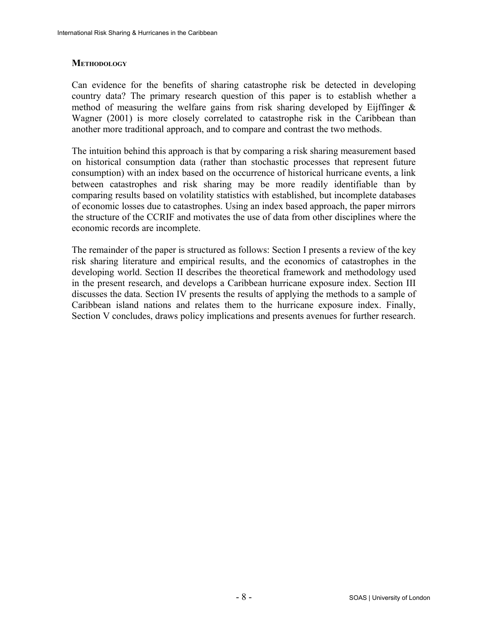#### **METHODOLOGY**

Can evidence for the benefits of sharing catastrophe risk be detected in developing country data? The primary research question of this paper is to establish whether a method of measuring the welfare gains from risk sharing developed by Eijffinger  $\&$ Wagner (2001) is more closely correlated to catastrophe risk in the Caribbean than another more traditional approach, and to compare and contrast the two methods.

The intuition behind this approach is that by comparing a risk sharing measurement based on historical consumption data (rather than stochastic processes that represent future consumption) with an index based on the occurrence of historical hurricane events, a link between catastrophes and risk sharing may be more readily identifiable than by comparing results based on volatility statistics with established, but incomplete databases of economic losses due to catastrophes. Using an index based approach, the paper mirrors the structure of the CCRIF and motivates the use of data from other disciplines where the economic records are incomplete.

The remainder of the paper is structured as follows: Section I presents a review of the key risk sharing literature and empirical results, and the economics of catastrophes in the developing world. Section II describes the theoretical framework and methodology used in the present research, and develops a Caribbean hurricane exposure index. Section III discusses the data. Section IV presents the results of applying the methods to a sample of Caribbean island nations and relates them to the hurricane exposure index. Finally, Section V concludes, draws policy implications and presents avenues for further research.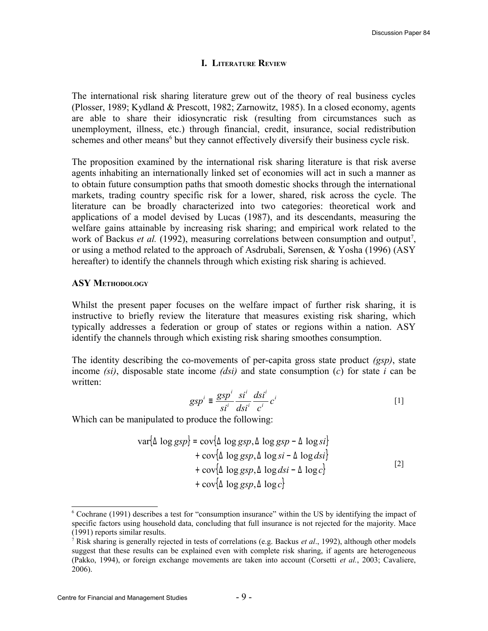#### **I. LITERATURE REVIEW**

The international risk sharing literature grew out of the theory of real business cycles (Plosser, 1989; Kydland & Prescott, 1982; Zarnowitz, 1985). In a closed economy, agents are able to share their idiosyncratic risk (resulting from circumstances such as unemployment, illness, etc.) through financial, credit, insurance, social redistribution schemes and other means<sup>[6](#page-8-0)</sup> but they cannot effectively diversify their business cycle risk.

The proposition examined by the international risk sharing literature is that risk averse agents inhabiting an internationally linked set of economies will act in such a manner as to obtain future consumption paths that smooth domestic shocks through the international markets, trading country specific risk for a lower, shared, risk across the cycle. The literature can be broadly characterized into two categories: theoretical work and applications of a model devised by Lucas (1987), and its descendants, measuring the welfare gains attainable by increasing risk sharing; and empirical work related to the work of Backus *et al.* (1992), measuring correlations between consumption and output<sup>[7](#page-8-1)</sup>, or using a method related to the approach of Asdrubali, Sørensen, & Yosha (1996) (ASY hereafter) to identify the channels through which existing risk sharing is achieved.

#### **ASY METHODOLOGY**

Whilst the present paper focuses on the welfare impact of further risk sharing, it is instructive to briefly review the literature that measures existing risk sharing, which typically addresses a federation or group of states or regions within a nation. ASY identify the channels through which existing risk sharing smoothes consumption.

The identity describing the co-movements of per-capita gross state product *(gsp)*, state income *(si)*, disposable state income *(dsi)* and state consumption (*c*) for state *i* can be written:

$$
gsp^{i} \equiv \frac{gsp^{i}}{si^{i}} \frac{si^{i}}{dsi^{i}} \frac{dsi^{i}}{c^{i}}c^{i}
$$
 [1]

Which can be manipulated to produce the following:

$$
\begin{aligned}\n\text{var}\{\Delta \log ssp\} &= \text{cov}\{\Delta \log ssp, \Delta \log ssp - \Delta \log si\} \\
&+ \text{cov}\{\Delta \log ssp, \Delta \log si - \Delta \log dsi\} \\
&+ \text{cov}\{\Delta \log ssp, \Delta \log dsi - \Delta \log c\} \\
&+ \text{cov}\{\Delta \log ssp, \Delta \log c\}\n\end{aligned}\n\tag{2}
$$

<span id="page-8-0"></span><sup>6</sup> Cochrane (1991) describes a test for "consumption insurance" within the US by identifying the impact of specific factors using household data, concluding that full insurance is not rejected for the majority. Mace (1991) reports similar results.

<span id="page-8-1"></span><sup>7</sup> Risk sharing is generally rejected in tests of correlations (e.g. Backus *et al*., 1992), although other models suggest that these results can be explained even with complete risk sharing, if agents are heterogeneous (Pakko, 1994), or foreign exchange movements are taken into account (Corsetti *et al.*, 2003; Cavaliere, 2006).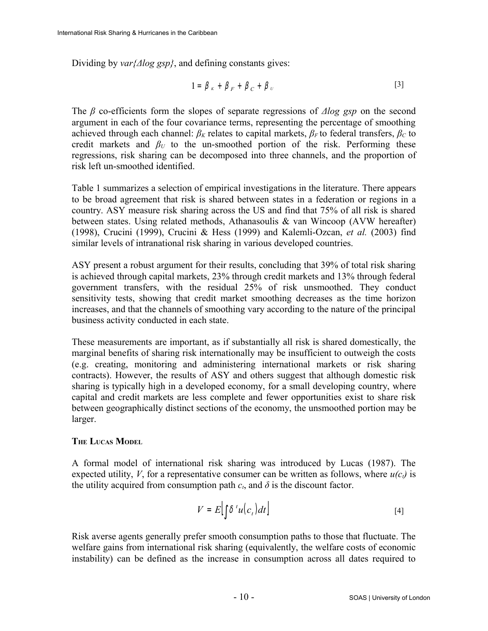Dividing by *var{Δlog gsp}*, and defining constants gives:

$$
1 = \beta_K + \beta_F + \beta_C + \beta_v \tag{3}
$$

The *β* co-efficients form the slopes of separate regressions of *Δlog gsp* on the second argument in each of the four covariance terms, representing the percentage of smoothing achieved through each channel:  $\beta_K$  relates to capital markets,  $\beta_F$  to federal transfers,  $\beta_C$  to credit markets and  $\beta_U$  to the un-smoothed portion of the risk. Performing these regressions, risk sharing can be decomposed into three channels, and the proportion of risk left un-smoothed identified.

[Table 1](#page-13-0) summarizes a selection of empirical investigations in the literature. There appears to be broad agreement that risk is shared between states in a federation or regions in a country. ASY measure risk sharing across the US and find that 75% of all risk is shared between states. Using related methods, Athanasoulis  $\&$  van Wincoop (AVW hereafter) (1998), Crucini (1999), Crucini & Hess (1999) and Kalemli-Ozcan, *et al.* (2003) find similar levels of intranational risk sharing in various developed countries.

ASY present a robust argument for their results, concluding that 39% of total risk sharing is achieved through capital markets, 23% through credit markets and 13% through federal government transfers, with the residual 25% of risk unsmoothed. They conduct sensitivity tests, showing that credit market smoothing decreases as the time horizon increases, and that the channels of smoothing vary according to the nature of the principal business activity conducted in each state.

These measurements are important, as if substantially all risk is shared domestically, the marginal benefits of sharing risk internationally may be insufficient to outweigh the costs (e.g. creating, monitoring and administering international markets or risk sharing contracts). However, the results of ASY and others suggest that although domestic risk sharing is typically high in a developed economy, for a small developing country, where capital and credit markets are less complete and fewer opportunities exist to share risk between geographically distinct sections of the economy, the unsmoothed portion may be larger.

### **THE LUCAS MODEL**

A formal model of international risk sharing was introduced by Lucas (1987). The expected utility, *V*, for a representative consumer can be written as follows, where  $u(c_i)$  is the utility acquired from consumption path  $c_t$ , and  $\delta$  is the discount factor.

$$
V = E\left[\int \delta^t u(c_t) dt\right]
$$
 [4]

Risk averse agents generally prefer smooth consumption paths to those that fluctuate. The welfare gains from international risk sharing (equivalently, the welfare costs of economic instability) can be defined as the increase in consumption across all dates required to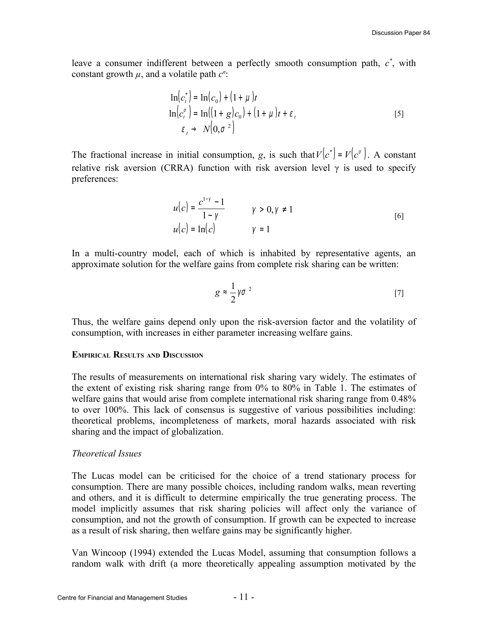leave a consumer indifferent between a perfectly smooth consumption path,  $c^*$ , with constant growth  $\mu$ , and a volatile path  $c^{\sigma}$ .

$$
\ln(c_t^*) = \ln(c_0) + (1 + \mu)t
$$
  
\n
$$
\ln(c_t^{\sigma}) = \ln((1 + g)c_0) + (1 + \mu)t + \varepsilon_t
$$
  
\n
$$
\varepsilon_t \to N(0, \sigma^2)
$$
 [5]

The fractional increase in initial consumption, *g*, is such that  $V(c^*) = V(c^{\sigma})$ . A constant relative risk aversion (CRRA) function with risk aversion level  $\gamma$  is used to specify preferences:

$$
u(c) = \frac{c^{1-\gamma} - 1}{1 - \gamma} \qquad \qquad \gamma > 0, \gamma \neq 1
$$
  

$$
u(c) = \ln(c) \qquad \qquad \gamma = 1
$$
 [6]

In a multi-country model, each of which is inhabited by representative agents, an approximate solution for the welfare gains from complete risk sharing can be written:

$$
g \approx \frac{1}{2} \gamma \sigma^2 \tag{7}
$$

Thus, the welfare gains depend only upon the risk-aversion factor and the volatility of consumption, with increases in either parameter increasing welfare gains.

#### **EMPIRICAL RESULTS AND DISCUSSION**

The results of measurements on international risk sharing vary widely. The estimates of the extent of existing risk sharing range from 0% to 80% in [Table 1.](#page-13-0) The estimates of welfare gains that would arise from complete international risk sharing range from 0.48% to over 100%. This lack of consensus is suggestive of various possibilities including: theoretical problems, incompleteness of markets, moral hazards associated with risk sharing and the impact of globalization.

#### *Theoretical Issues*

The Lucas model can be criticised for the choice of a trend stationary process for consumption. There are many possible choices, including random walks, mean reverting and others, and it is difficult to determine empirically the true generating process. The model implicitly assumes that risk sharing policies will affect only the variance of consumption, and not the growth of consumption. If growth can be expected to increase as a result of risk sharing, then welfare gains may be significantly higher.

Van Wincoop (1994) extended the Lucas Model, assuming that consumption follows a random walk with drift (a more theoretically appealing assumption motivated by the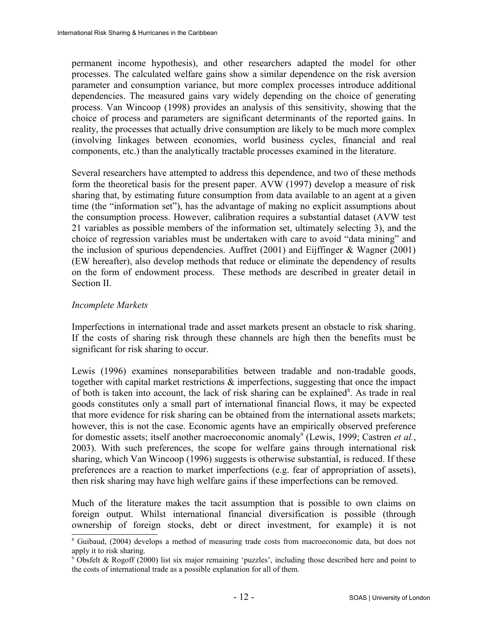permanent income hypothesis), and other researchers adapted the model for other processes. The calculated welfare gains show a similar dependence on the risk aversion parameter and consumption variance, but more complex processes introduce additional dependencies. The measured gains vary widely depending on the choice of generating process. Van Wincoop (1998) provides an analysis of this sensitivity, showing that the choice of process and parameters are significant determinants of the reported gains. In reality, the processes that actually drive consumption are likely to be much more complex (involving linkages between economies, world business cycles, financial and real components, etc.) than the analytically tractable processes examined in the literature.

Several researchers have attempted to address this dependence, and two of these methods form the theoretical basis for the present paper. AVW (1997) develop a measure of risk sharing that, by estimating future consumption from data available to an agent at a given time (the "information set"), has the advantage of making no explicit assumptions about the consumption process. However, calibration requires a substantial dataset (AVW test 21 variables as possible members of the information set, ultimately selecting 3), and the choice of regression variables must be undertaken with care to avoid "data mining" and the inclusion of spurious dependencies. Auffret (2001) and Eijffinger & Wagner (2001) (EW hereafter), also develop methods that reduce or eliminate the dependency of results on the form of endowment process. These methods are described in greater detail in Section II.

### *Incomplete Markets*

Imperfections in international trade and asset markets present an obstacle to risk sharing. If the costs of sharing risk through these channels are high then the benefits must be significant for risk sharing to occur.

Lewis (1996) examines nonseparabilities between tradable and non-tradable goods, together with capital market restrictions & imperfections, suggesting that once the impact of both is taken into account, the lack of risk sharing can be explained<sup>[8](#page-11-0)</sup>. As trade in real goods constitutes only a small part of international financial flows, it may be expected that more evidence for risk sharing can be obtained from the international assets markets; however, this is not the case. Economic agents have an empirically observed preference for domestic assets; itself another macroeconomic anomaly<sup>[9](#page-11-1)</sup> (Lewis, 1999; Castren *et al.*, 2003). With such preferences, the scope for welfare gains through international risk sharing, which Van Wincoop (1996) suggests is otherwise substantial, is reduced. If these preferences are a reaction to market imperfections (e.g. fear of appropriation of assets), then risk sharing may have high welfare gains if these imperfections can be removed.

Much of the literature makes the tacit assumption that is possible to own claims on foreign output. Whilst international financial diversification is possible (through ownership of foreign stocks, debt or direct investment, for example) it is not

<span id="page-11-0"></span><sup>&</sup>lt;sup>8</sup> Guibaud, (2004) develops a method of measuring trade costs from macroeconomic data, but does not apply it to risk sharing.

<span id="page-11-1"></span><sup>9</sup> Obsfelt & Rogoff (2000) list six major remaining 'puzzles', including those described here and point to the costs of international trade as a possible explanation for all of them.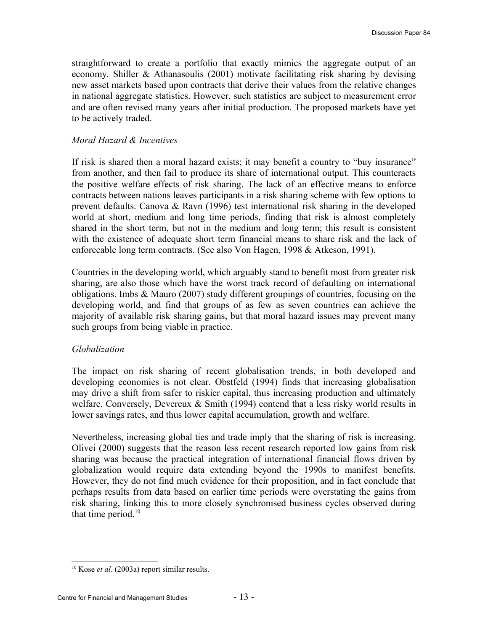straightforward to create a portfolio that exactly mimics the aggregate output of an economy. Shiller & Athanasoulis (2001) motivate facilitating risk sharing by devising new asset markets based upon contracts that derive their values from the relative changes in national aggregate statistics. However, such statistics are subject to measurement error and are often revised many years after initial production. The proposed markets have yet to be actively traded.

#### *Moral Hazard & Incentives*

If risk is shared then a moral hazard exists; it may benefit a country to "buy insurance" from another, and then fail to produce its share of international output. This counteracts the positive welfare effects of risk sharing. The lack of an effective means to enforce contracts between nations leaves participants in a risk sharing scheme with few options to prevent defaults. Canova & Ravn (1996) test international risk sharing in the developed world at short, medium and long time periods, finding that risk is almost completely shared in the short term, but not in the medium and long term; this result is consistent with the existence of adequate short term financial means to share risk and the lack of enforceable long term contracts. (See also Von Hagen, 1998 & Atkeson, 1991).

Countries in the developing world, which arguably stand to benefit most from greater risk sharing, are also those which have the worst track record of defaulting on international obligations. Imbs & Mauro (2007) study different groupings of countries, focusing on the developing world, and find that groups of as few as seven countries can achieve the majority of available risk sharing gains, but that moral hazard issues may prevent many such groups from being viable in practice.

### *Globalization*

The impact on risk sharing of recent globalisation trends, in both developed and developing economies is not clear. Obstfeld (1994) finds that increasing globalisation may drive a shift from safer to riskier capital, thus increasing production and ultimately welfare. Conversely, Devereux & Smith (1994) contend that a less risky world results in lower savings rates, and thus lower capital accumulation, growth and welfare.

Nevertheless, increasing global ties and trade imply that the sharing of risk is increasing. Olivei (2000) suggests that the reason less recent research reported low gains from risk sharing was because the practical integration of international financial flows driven by globalization would require data extending beyond the 1990s to manifest benefits. However, they do not find much evidence for their proposition, and in fact conclude that perhaps results from data based on earlier time periods were overstating the gains from risk sharing, linking this to more closely synchronised business cycles observed during that time period. $10$ 

<span id="page-12-0"></span><sup>10</sup> Kose *et al*. (2003a) report similar results.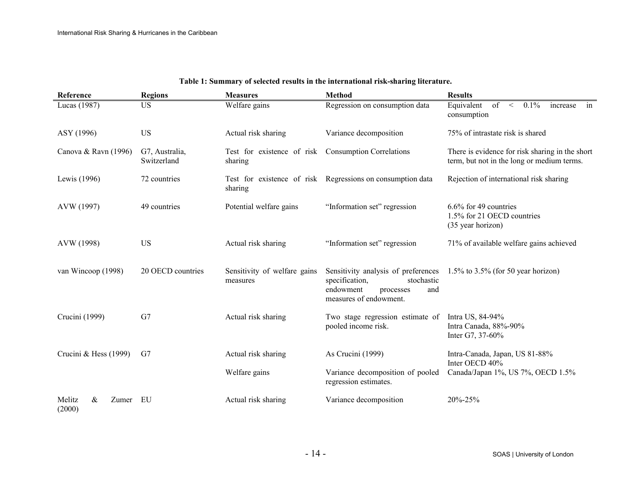| Reference                      | <b>Regions</b>                | <b>Measures</b>                          | <b>Method</b>                                                                                                                  | <b>Results</b>                                                                                |
|--------------------------------|-------------------------------|------------------------------------------|--------------------------------------------------------------------------------------------------------------------------------|-----------------------------------------------------------------------------------------------|
| Lucas (1987)                   | <b>US</b>                     | Welfare gains                            | Regression on consumption data                                                                                                 | Equivalent<br>0.1%<br>of<br>$\leq$<br>increase in<br>consumption                              |
| ASY (1996)                     | <b>US</b>                     | Actual risk sharing                      | Variance decomposition                                                                                                         | 75% of intrastate risk is shared                                                              |
| Canova & Ravn (1996)           | G7, Australia,<br>Switzerland | Test for existence of risk<br>sharing    | <b>Consumption Correlations</b>                                                                                                | There is evidence for risk sharing in the short<br>term, but not in the long or medium terms. |
| Lewis (1996)                   | 72 countries                  | sharing                                  | Test for existence of risk Regressions on consumption data                                                                     | Rejection of international risk sharing                                                       |
| AVW (1997)                     | 49 countries                  | Potential welfare gains                  | "Information set" regression                                                                                                   | $6.6\%$ for 49 countries<br>1.5% for 21 OECD countries<br>(35 year horizon)                   |
| AVW (1998)                     | <b>US</b>                     | Actual risk sharing                      | "Information set" regression                                                                                                   | 71% of available welfare gains achieved                                                       |
| van Wincoop (1998)             | 20 OECD countries             | Sensitivity of welfare gains<br>measures | Sensitivity analysis of preferences<br>specification,<br>stochastic<br>endowment<br>and<br>processes<br>measures of endowment. | $1.5\%$ to 3.5% (for 50 year horizon)                                                         |
| Crucini (1999)                 | G7                            | Actual risk sharing                      | Two stage regression estimate of<br>pooled income risk.                                                                        | Intra US, 84-94%<br>Intra Canada, 88%-90%<br>Inter G7, 37-60%                                 |
| Crucini & Hess $(1999)$        | G7                            | Actual risk sharing                      | As Crucini (1999)                                                                                                              | Intra-Canada, Japan, US 81-88%<br>Inter OECD 40%                                              |
|                                |                               | Welfare gains                            | Variance decomposition of pooled<br>regression estimates.                                                                      | Canada/Japan 1%, US 7%, OECD 1.5%                                                             |
| Melitz<br>&<br>Zumer<br>(2000) | EU                            | Actual risk sharing                      | Variance decomposition                                                                                                         | 20%-25%                                                                                       |

#### <span id="page-13-0"></span>**Table 1: Summary of selected results in the international risk-sharing literature.**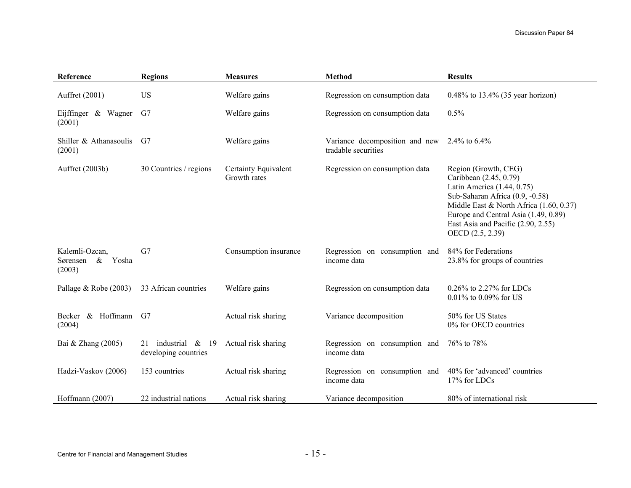| Reference                                             | <b>Regions</b>                                   | <b>Measures</b>                      | <b>Method</b>                                         | <b>Results</b>                                                                                                                                                                                                                                               |
|-------------------------------------------------------|--------------------------------------------------|--------------------------------------|-------------------------------------------------------|--------------------------------------------------------------------------------------------------------------------------------------------------------------------------------------------------------------------------------------------------------------|
| Auffret (2001)                                        | <b>US</b>                                        | Welfare gains                        | Regression on consumption data                        | $0.48\%$ to 13.4% (35 year horizon)                                                                                                                                                                                                                          |
| Eijffinger & Wagner<br>(2001)                         | G7                                               | Welfare gains                        | Regression on consumption data                        | 0.5%                                                                                                                                                                                                                                                         |
| Shiller $&$ Athanasoulis<br>(2001)                    | G7                                               | Welfare gains                        | Variance decomposition and new<br>tradable securities | 2.4\% to $6.4\%$                                                                                                                                                                                                                                             |
| Auffret (2003b)                                       | 30 Countries / regions                           | Certainty Equivalent<br>Growth rates | Regression on consumption data                        | Region (Growth, CEG)<br>Caribbean (2.45, 0.79)<br>Latin America (1.44, 0.75)<br>Sub-Saharan Africa (0.9, -0.58)<br>Middle East & North Africa (1.60, 0.37)<br>Europe and Central Asia (1.49, 0.89)<br>East Asia and Pacific (2.90, 2.55)<br>OECD (2.5, 2.39) |
| Kalemli-Ozcan,<br>$\&$<br>Yosha<br>Sørensen<br>(2003) | G7                                               | Consumption insurance                | Regression on consumption and<br>income data          | 84% for Federations<br>23.8% for groups of countries                                                                                                                                                                                                         |
| Pallage $& \text{Robe} (2003)$                        | 33 African countries                             | Welfare gains                        | Regression on consumption data                        | $0.26\%$ to 2.27% for LDCs<br>0.01% to 0.09% for US                                                                                                                                                                                                          |
| Becker & Hoffmann<br>(2004)                           | G7                                               | Actual risk sharing                  | Variance decomposition                                | 50% for US States<br>0% for OECD countries                                                                                                                                                                                                                   |
| Bai & Zhang (2005)                                    | industrial &<br>19<br>21<br>developing countries | Actual risk sharing                  | Regression on consumption and<br>income data          | 76% to 78%                                                                                                                                                                                                                                                   |
| Hadzi-Vaskov (2006)                                   | 153 countries                                    | Actual risk sharing                  | Regression on consumption and<br>income data          | 40% for 'advanced' countries<br>17% for LDCs                                                                                                                                                                                                                 |
| Hoffmann (2007)                                       | 22 industrial nations                            | Actual risk sharing                  | Variance decomposition                                | 80% of international risk                                                                                                                                                                                                                                    |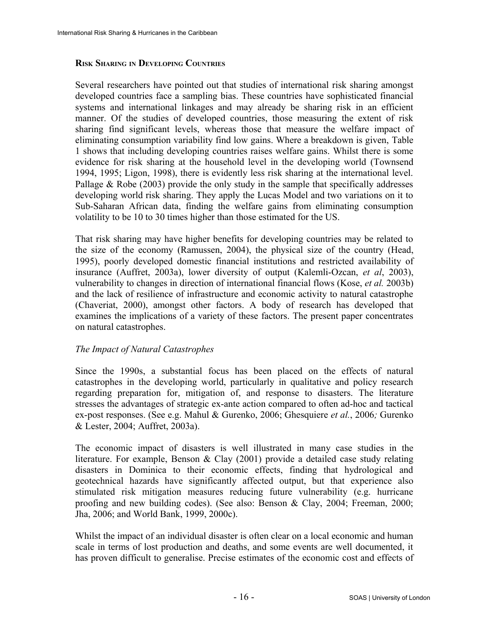### **RISK SHARING IN DEVELOPING COUNTRIES**

Several researchers have pointed out that studies of international risk sharing amongst developed countries face a sampling bias. These countries have sophisticated financial systems and international linkages and may already be sharing risk in an efficient manner. Of the studies of developed countries, those measuring the extent of risk sharing find significant levels, whereas those that measure the welfare impact of eliminating consumption variability find low gains. Where a breakdown is given, [Table](#page-13-0) [1](#page-13-0) shows that including developing countries raises welfare gains. Whilst there is some evidence for risk sharing at the household level in the developing world (Townsend 1994, 1995; Ligon, 1998), there is evidently less risk sharing at the international level. Pallage  $& Robe (2003)$  provide the only study in the sample that specifically addresses developing world risk sharing. They apply the Lucas Model and two variations on it to Sub-Saharan African data, finding the welfare gains from eliminating consumption volatility to be 10 to 30 times higher than those estimated for the US.

That risk sharing may have higher benefits for developing countries may be related to the size of the economy (Ramussen, 2004), the physical size of the country (Head, 1995), poorly developed domestic financial institutions and restricted availability of insurance (Auffret, 2003a), lower diversity of output (Kalemli-Ozcan, *et al*, 2003), vulnerability to changes in direction of international financial flows (Kose, *et al.* 2003b) and the lack of resilience of infrastructure and economic activity to natural catastrophe (Chaveriat, 2000), amongst other factors. A body of research has developed that examines the implications of a variety of these factors. The present paper concentrates on natural catastrophes.

## *The Impact of Natural Catastrophes*

Since the 1990s, a substantial focus has been placed on the effects of natural catastrophes in the developing world, particularly in qualitative and policy research regarding preparation for, mitigation of, and response to disasters. The literature stresses the advantages of strategic ex-ante action compared to often ad-hoc and tactical ex-post responses. (See e.g. Mahul & Gurenko, 2006; Ghesquiere *et al.*, 2006*;* Gurenko & Lester, 2004; Auffret, 2003a).

The economic impact of disasters is well illustrated in many case studies in the literature. For example, Benson & Clay (2001) provide a detailed case study relating disasters in Dominica to their economic effects, finding that hydrological and geotechnical hazards have significantly affected output, but that experience also stimulated risk mitigation measures reducing future vulnerability (e.g. hurricane proofing and new building codes). (See also: Benson & Clay, 2004; Freeman, 2000; Jha, 2006; and World Bank, 1999, 2000c).

Whilst the impact of an individual disaster is often clear on a local economic and human scale in terms of lost production and deaths, and some events are well documented, it has proven difficult to generalise. Precise estimates of the economic cost and effects of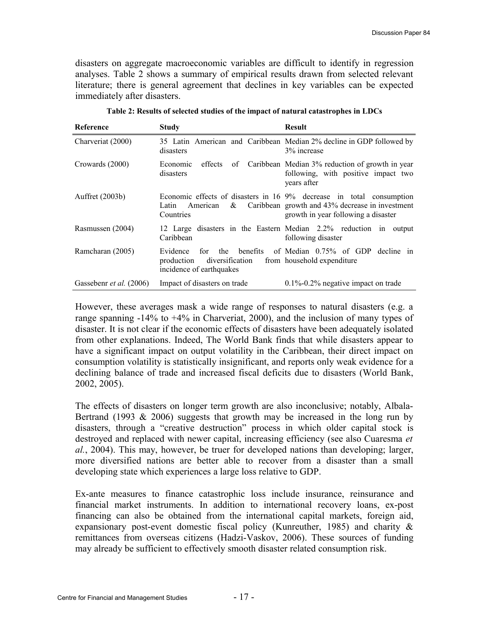disasters on aggregate macroeconomic variables are difficult to identify in regression analyses. [Table 2](#page-16-0) shows a summary of empirical results drawn from selected relevant literature; there is general agreement that declines in key variables can be expected immediately after disasters.

| Reference                      | <b>Study</b>                                                                                           | <b>Result</b>                                                                                                                                                  |
|--------------------------------|--------------------------------------------------------------------------------------------------------|----------------------------------------------------------------------------------------------------------------------------------------------------------------|
| Charveriat (2000)              | disasters                                                                                              | 35 Latin American and Caribbean Median 2% decline in GDP followed by<br>3% increase                                                                            |
| Crowards (2000)                | effects<br>Economic<br>disasters                                                                       | of Caribbean Median 3% reduction of growth in year<br>following, with positive impact two<br>vears after                                                       |
| Auffret $(2003b)$              | Latin<br>American<br>$\&$<br>Countries                                                                 | Economic effects of disasters in 16 9% decrease in total consumption<br>Caribbean growth and 43% decrease in investment<br>growth in year following a disaster |
| Rasmussen (2004)               | Caribbean                                                                                              | 12 Large disasters in the Eastern Median 2.2% reduction in output<br>following disaster                                                                        |
| Ramcharan (2005)               | <b>benefits</b><br>Evidence<br>the<br>for<br>diversification<br>production<br>incidence of earthquakes | of Median 0.75% of GDP decline in<br>from household expenditure                                                                                                |
| Gassebenr <i>et al.</i> (2006) | Impact of disasters on trade                                                                           | $0.1\%$ -0.2% negative impact on trade                                                                                                                         |

<span id="page-16-0"></span>**Table 2: Results of selected studies of the impact of natural catastrophes in LDCs**

However, these averages mask a wide range of responses to natural disasters (e.g. a range spanning -14% to +4% in Charveriat, 2000), and the inclusion of many types of disaster. It is not clear if the economic effects of disasters have been adequately isolated from other explanations. Indeed, The World Bank finds that while disasters appear to have a significant impact on output volatility in the Caribbean, their direct impact on consumption volatility is statistically insignificant, and reports only weak evidence for a declining balance of trade and increased fiscal deficits due to disasters (World Bank, 2002, 2005).

The effects of disasters on longer term growth are also inconclusive; notably, Albala-Bertrand (1993  $\&$  2006) suggests that growth may be increased in the long run by disasters, through a "creative destruction" process in which older capital stock is destroyed and replaced with newer capital, increasing efficiency (see also Cuaresma *et al.*, 2004). This may, however, be truer for developed nations than developing; larger, more diversified nations are better able to recover from a disaster than a small developing state which experiences a large loss relative to GDP.

Ex-ante measures to finance catastrophic loss include insurance, reinsurance and financial market instruments. In addition to international recovery loans, ex-post financing can also be obtained from the international capital markets, foreign aid, expansionary post-event domestic fiscal policy (Kunreuther, 1985) and charity & remittances from overseas citizens (Hadzi-Vaskov, 2006). These sources of funding may already be sufficient to effectively smooth disaster related consumption risk.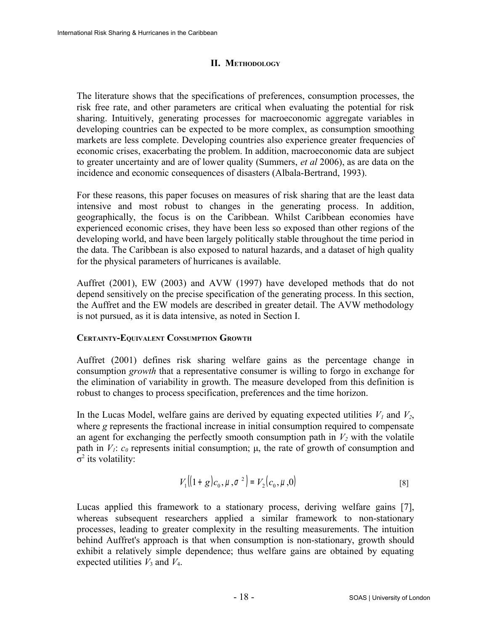## **II. METHODOLOGY**

The literature shows that the specifications of preferences, consumption processes, the risk free rate, and other parameters are critical when evaluating the potential for risk sharing. Intuitively, generating processes for macroeconomic aggregate variables in developing countries can be expected to be more complex, as consumption smoothing markets are less complete. Developing countries also experience greater frequencies of economic crises, exacerbating the problem. In addition, macroeconomic data are subject to greater uncertainty and are of lower quality (Summers, *et al* 2006), as are data on the incidence and economic consequences of disasters (Albala-Bertrand, 1993).

For these reasons, this paper focuses on measures of risk sharing that are the least data intensive and most robust to changes in the generating process. In addition, geographically, the focus is on the Caribbean. Whilst Caribbean economies have experienced economic crises, they have been less so exposed than other regions of the developing world, and have been largely politically stable throughout the time period in the data. The Caribbean is also exposed to natural hazards, and a dataset of high quality for the physical parameters of hurricanes is available.

Auffret (2001), EW (2003) and AVW (1997) have developed methods that do not depend sensitively on the precise specification of the generating process. In this section, the Auffret and the EW models are described in greater detail. The AVW methodology is not pursued, as it is data intensive, as noted in Section I.

## **CERTAINTY-EQUIVALENT CONSUMPTION GROWTH**

Auffret (2001) defines risk sharing welfare gains as the percentage change in consumption *growth* that a representative consumer is willing to forgo in exchange for the elimination of variability in growth. The measure developed from this definition is robust to changes to process specification, preferences and the time horizon.

In the Lucas Model, welfare gains are derived by equating expected utilities  $V<sub>1</sub>$  and  $V<sub>2</sub>$ , where *g* represents the fractional increase in initial consumption required to compensate an agent for exchanging the perfectly smooth consumption path in  $V_2$  with the volatile path in  $V_1$ :  $c_0$  represents initial consumption;  $\mu$ , the rate of growth of consumption and  $σ<sup>2</sup>$  its volatility:

$$
V_1[(1+g)c_0, \mu, \sigma^2] = V_2(c_0, \mu, 0)
$$
 [8]

Lucas applied this framework to a stationary process, deriving welfare gains [7], whereas subsequent researchers applied a similar framework to non-stationary processes, leading to greater complexity in the resulting measurements. The intuition behind Auffret's approach is that when consumption is non-stationary, growth should exhibit a relatively simple dependence; thus welfare gains are obtained by equating expected utilities  $V_3$  and  $V_4$ .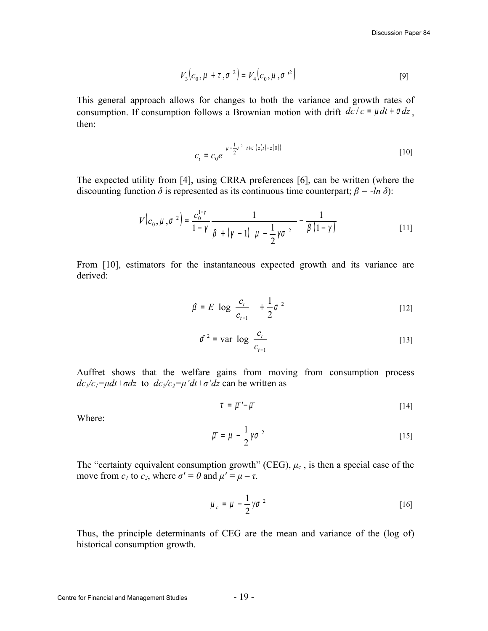$$
V_3(c_0, \mu + \tau, \sigma^2) = V_4(c_0, \mu, \sigma^2)
$$
 [9]

This general approach allows for changes to both the variance and growth rates of consumption. If consumption follows a Brownian motion with drift  $dc/c = \mu dt + \sigma dz$ , then:

$$
c_{t} = c_{0}e^{\left(\mu - \frac{1}{2}\sigma^{2}\right)t + \sigma\left(z(t) - z(0)\right)}
$$
 [10]

The expected utility from [4], using CRRA preferences [6], can be written (where the discounting function  $\delta$  is represented as its continuous time counterpart;  $\beta = -\ln \delta$ ):

$$
V(c_0, \mu, \sigma^2) = \frac{c_0^{1-\gamma}}{1-\gamma} \frac{1}{\beta + (\gamma - 1)(\mu - \frac{1}{2}\gamma\sigma^2)} - \frac{1}{\beta(1-\gamma)}
$$
 [11]

From [10], estimators for the instantaneous expected growth and its variance are derived:

$$
\hat{\mu} = E \left[ \log \left( \frac{c_t}{c_{t-1}} \right) \right] + \frac{1}{2} \sigma^2 \tag{12}
$$

$$
\hat{\sigma}^2 = \text{var}\left[ \log \left( \frac{c_t}{c_{t-1}} \right) \right] \tag{13}
$$

Auffret shows that the welfare gains from moving from consumption process  $dc_1/c_1 = \mu dt + \sigma dz$  to  $dc_2/c_2 = \mu' dt + \sigma' dz$  can be written as

$$
\tau = \overline{\mu} - \overline{\mu} \tag{14}
$$

Where:

$$
\overline{\mu} = \mu - \frac{1}{2} \gamma \sigma^2 \tag{15}
$$

The "certainty equivalent consumption growth" (CEG), *μc* , is then a special case of the move from  $c_1$  to  $c_2$ , where  $\sigma' = 0$  and  $\mu' = \mu - \tau$ .

$$
\mu_c = \mu - \frac{1}{2}\gamma\sigma^2 \tag{16}
$$

Thus, the principle determinants of CEG are the mean and variance of the (log of) historical consumption growth.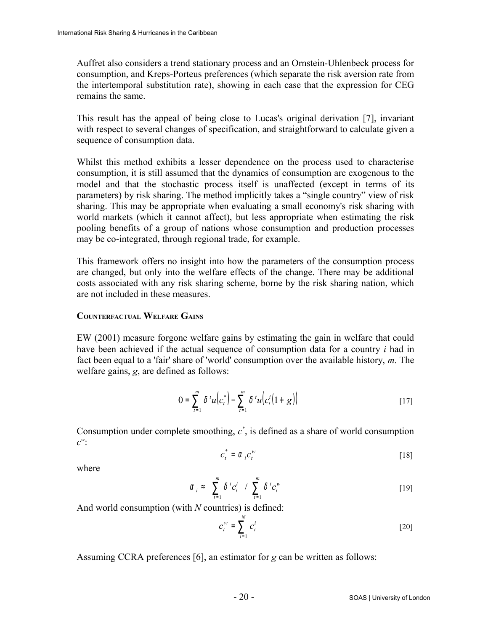Auffret also considers a trend stationary process and an Ornstein-Uhlenbeck process for consumption, and Kreps-Porteus preferences (which separate the risk aversion rate from the intertemporal substitution rate), showing in each case that the expression for CEG remains the same.

This result has the appeal of being close to Lucas's original derivation [7], invariant with respect to several changes of specification, and straightforward to calculate given a sequence of consumption data.

Whilst this method exhibits a lesser dependence on the process used to characterise consumption, it is still assumed that the dynamics of consumption are exogenous to the model and that the stochastic process itself is unaffected (except in terms of its parameters) by risk sharing. The method implicitly takes a "single country" view of risk sharing. This may be appropriate when evaluating a small economy's risk sharing with world markets (which it cannot affect), but less appropriate when estimating the risk pooling benefits of a group of nations whose consumption and production processes may be co-integrated, through regional trade, for example.

This framework offers no insight into how the parameters of the consumption process are changed, but only into the welfare effects of the change. There may be additional costs associated with any risk sharing scheme, borne by the risk sharing nation, which are not included in these measures.

### **COUNTERFACTUAL WELFARE GAINS**

EW (2001) measure forgone welfare gains by estimating the gain in welfare that could have been achieved if the actual sequence of consumption data for a country *i* had in fact been equal to a 'fair' share of 'world' consumption over the available history, *m*. The welfare gains, *g*, are defined as follows:

$$
0 = \sum_{t=1}^{m} \delta' u(c_t^*) - \sum_{t=1}^{m} \delta' u(c_t^i(1+g))
$$
 [17]

Consumption under complete smoothing,  $c^*$ , is defined as a share of world consumption *c w* :

$$
c_t^* = \alpha_i c_t^w \tag{18}
$$

where

$$
\alpha_i \approx \left(\sum_{t=1}^m \delta^t c_i^i\right) / \left(\sum_{t=1}^m \delta^t c_i^w\right)
$$
 [19]

And world consumption (with *N* countries) is defined:

$$
c_t^w = \sum_{i=1}^N c_t^i
$$
 [20]

Assuming CCRA preferences [6], an estimator for *g* can be written as follows: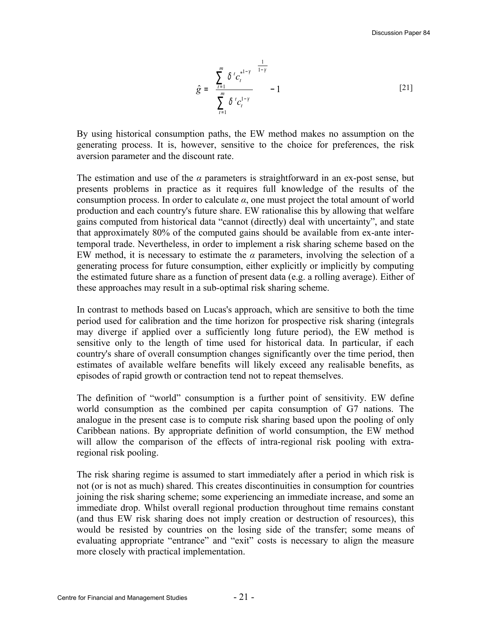$$
\hat{g} = \left(\frac{\sum_{t=1}^{m} \delta^{t} c_{t}^{*1-\gamma}}{\sum_{t=1}^{m} \delta^{t} c_{t}^{1-\gamma}}\right)^{\frac{1}{1-\gamma}} - 1
$$
\n[21]

By using historical consumption paths, the EW method makes no assumption on the generating process. It is, however, sensitive to the choice for preferences, the risk aversion parameter and the discount rate.

The estimation and use of the  $\alpha$  parameters is straightforward in an ex-post sense, but presents problems in practice as it requires full knowledge of the results of the consumption process. In order to calculate  $\alpha$ , one must project the total amount of world production and each country's future share. EW rationalise this by allowing that welfare gains computed from historical data "cannot (directly) deal with uncertainty", and state that approximately 80% of the computed gains should be available from ex-ante intertemporal trade. Nevertheless, in order to implement a risk sharing scheme based on the EW method, it is necessary to estimate the  $\alpha$  parameters, involving the selection of a generating process for future consumption, either explicitly or implicitly by computing the estimated future share as a function of present data (e.g. a rolling average). Either of these approaches may result in a sub-optimal risk sharing scheme.

In contrast to methods based on Lucas's approach, which are sensitive to both the time period used for calibration and the time horizon for prospective risk sharing (integrals may diverge if applied over a sufficiently long future period), the EW method is sensitive only to the length of time used for historical data. In particular, if each country's share of overall consumption changes significantly over the time period, then estimates of available welfare benefits will likely exceed any realisable benefits, as episodes of rapid growth or contraction tend not to repeat themselves.

The definition of "world" consumption is a further point of sensitivity. EW define world consumption as the combined per capita consumption of G7 nations. The analogue in the present case is to compute risk sharing based upon the pooling of only Caribbean nations. By appropriate definition of world consumption, the EW method will allow the comparison of the effects of intra-regional risk pooling with extraregional risk pooling.

The risk sharing regime is assumed to start immediately after a period in which risk is not (or is not as much) shared. This creates discontinuities in consumption for countries joining the risk sharing scheme; some experiencing an immediate increase, and some an immediate drop. Whilst overall regional production throughout time remains constant (and thus EW risk sharing does not imply creation or destruction of resources), this would be resisted by countries on the losing side of the transfer; some means of evaluating appropriate "entrance" and "exit" costs is necessary to align the measure more closely with practical implementation.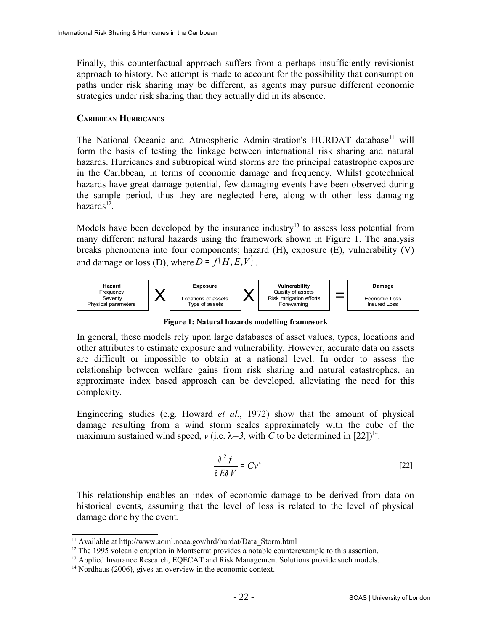Finally, this counterfactual approach suffers from a perhaps insufficiently revisionist approach to history. No attempt is made to account for the possibility that consumption paths under risk sharing may be different, as agents may pursue different economic strategies under risk sharing than they actually did in its absence.

### **CARIBBEAN HURRICANES**

The National Oceanic and Atmospheric Administration's HURDAT database<sup>[11](#page-21-1)</sup> will form the basis of testing the linkage between international risk sharing and natural hazards. Hurricanes and subtropical wind storms are the principal catastrophe exposure in the Caribbean, in terms of economic damage and frequency. Whilst geotechnical hazards have great damage potential, few damaging events have been observed during the sample period, thus they are neglected here, along with other less damaging  $hazards<sup>12</sup>$  $hazards<sup>12</sup>$  $hazards<sup>12</sup>$ .

Models have been developed by the insurance industry<sup>[13](#page-21-3)</sup> to assess loss potential from many different natural hazards using the framework shown in [Figure 1.](#page-21-0) The analysis breaks phenomena into four components; hazard (H), exposure (E), vulnerability (V) and damage or loss (D), where  $D = f(H, E, V)$ .



<span id="page-21-0"></span>**Figure 1: Natural hazards modelling framework**

In general, these models rely upon large databases of asset values, types, locations and other attributes to estimate exposure and vulnerability. However, accurate data on assets are difficult or impossible to obtain at a national level. In order to assess the relationship between welfare gains from risk sharing and natural catastrophes, an approximate index based approach can be developed, alleviating the need for this complexity.

Engineering studies (e.g. Howard *et al.*, 1972) show that the amount of physical damage resulting from a wind storm scales approximately with the cube of the maximum sustained wind speed,  $v$  (i.e.  $\lambda = 3$ , with C to be determined in [22])<sup>[14](#page-21-4)</sup>.

$$
\frac{\partial^2 f}{\partial E \partial V} = C v^{\lambda}
$$
 [22]

This relationship enables an index of economic damage to be derived from data on historical events, assuming that the level of loss is related to the level of physical damage done by the event.

<span id="page-21-1"></span><sup>&</sup>lt;sup>11</sup> Available at http://www.aoml.noaa.gov/hrd/hurdat/Data\_Storm.html

<span id="page-21-2"></span> $12$  The 1995 volcanic eruption in Montserrat provides a notable counterexample to this assertion.

<span id="page-21-3"></span><sup>&</sup>lt;sup>13</sup> Applied Insurance Research, EQECAT and Risk Management Solutions provide such models.

<span id="page-21-4"></span><sup>&</sup>lt;sup>14</sup> Nordhaus (2006), gives an overview in the economic context.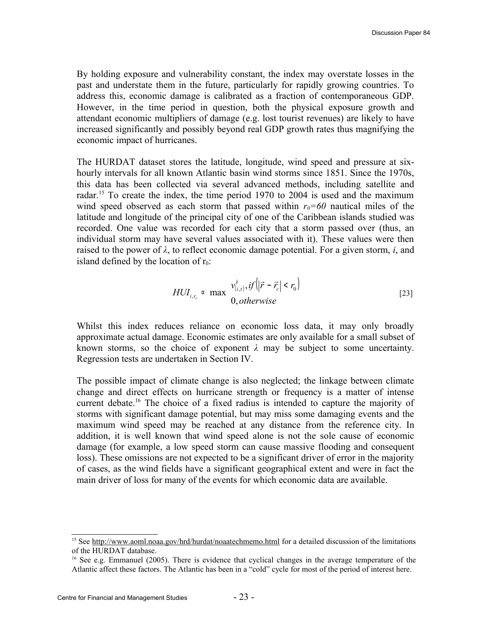By holding exposure and vulnerability constant, the index may overstate losses in the past and understate them in the future, particularly for rapidly growing countries. To address this, economic damage is calibrated as a fraction of contemporaneous GDP. However, in the time period in question, both the physical exposure growth and attendant economic multipliers of damage (e.g. lost tourist revenues) are likely to have increased significantly and possibly beyond real GDP growth rates thus magnifying the economic impact of hurricanes.

The HURDAT dataset stores the latitude, longitude, wind speed and pressure at sixhourly intervals for all known Atlantic basin wind storms since 1851. Since the 1970s, this data has been collected via several advanced methods, including satellite and radar.<sup>[15](#page-22-0)</sup> To create the index, the time period 1970 to 2004 is used and the maximum wind speed observed as each storm that passed within  $r<sub>0</sub>=60$  nautical miles of the latitude and longitude of the principal city of one of the Caribbean islands studied was recorded. One value was recorded for each city that a storm passed over (thus, an individual storm may have several values associated with it). These values were then raised to the power of *λ*, to reflect economic damage potential. For a given storm, *i*, and island defined by the location of  $r_0$ :

$$
HUI_{i,r_c} \propto \max\left(\frac{v_{(i,t)}^{\lambda}, if(|\vec{r} - \vec{r}_c| < r_0)}{0, otherwise}\right) \tag{23}
$$

Whilst this index reduces reliance on economic loss data, it may only broadly approximate actual damage. Economic estimates are only available for a small subset of known storms, so the choice of exponent  $\lambda$  may be subject to some uncertainty. Regression tests are undertaken in Section IV.

The possible impact of climate change is also neglected; the linkage between climate change and direct effects on hurricane strength or frequency is a matter of intense current debate.[16](#page-22-1) The choice of a fixed radius is intended to capture the majority of storms with significant damage potential, but may miss some damaging events and the maximum wind speed may be reached at any distance from the reference city. In addition, it is well known that wind speed alone is not the sole cause of economic damage (for example, a low speed storm can cause massive flooding and consequent loss). These omissions are not expected to be a significant driver of error in the majority of cases, as the wind fields have a significant geographical extent and were in fact the main driver of loss for many of the events for which economic data are available.

<span id="page-22-0"></span><sup>&</sup>lt;sup>15</sup> See<http://www.aoml.noaa.gov/hrd/hurdat/noaatechmemo.html>for a detailed discussion of the limitations of the HURDAT database.

<span id="page-22-1"></span><sup>&</sup>lt;sup>16</sup> See e.g. Emmanuel (2005). There is evidence that cyclical changes in the average temperature of the Atlantic affect these factors. The Atlantic has been in a "cold" cycle for most of the period of interest here.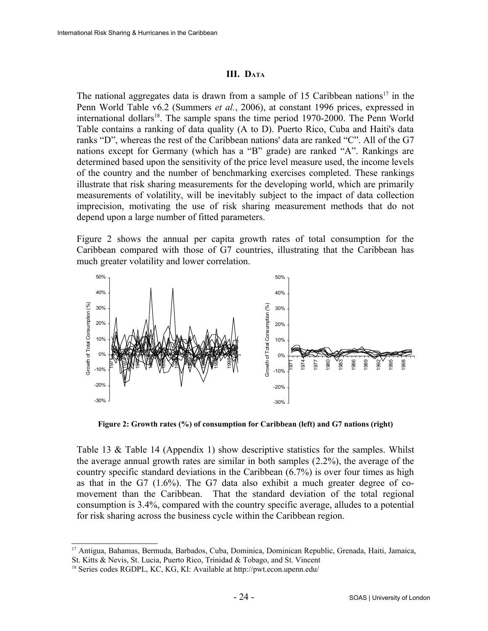### **III. DATA**

The national aggregates data is drawn from a sample of 15 Caribbean nations<sup>[17](#page-23-1)</sup> in the Penn World Table v6.2 (Summers *et al.*, 2006), at constant 1996 prices, expressed in international dollars<sup>[18](#page-23-2)</sup>. The sample spans the time period 1970-2000. The Penn World Table contains a ranking of data quality (A to D). Puerto Rico, Cuba and Haiti's data ranks "D", whereas the rest of the Caribbean nations' data are ranked "C". All of the G7 nations except for Germany (which has a "B" grade) are ranked "A". Rankings are determined based upon the sensitivity of the price level measure used, the income levels of the country and the number of benchmarking exercises completed. These rankings illustrate that risk sharing measurements for the developing world, which are primarily measurements of volatility, will be inevitably subject to the impact of data collection imprecision, motivating the use of risk sharing measurement methods that do not depend upon a large number of fitted parameters.

[Figure 2](#page-23-0) shows the annual per capita growth rates of total consumption for the Caribbean compared with those of G7 countries, illustrating that the Caribbean has much greater volatility and lower correlation.



<span id="page-23-0"></span>**Figure 2: Growth rates (%) of consumption for Caribbean (left) and G7 nations (right)**

[Table 13](#page-41-4) & [Table 14](#page-42-1) [\(Appendix 1\)](#page-41-1) show descriptive statistics for the samples. Whilst the average annual growth rates are similar in both samples [\(2.2%\)](#page-41-3), the average of the country specific standard deviations in the Caribbean [\(6.7%\)](#page-41-2) is over four times as high as that in the G7 [\(1.6%\)](#page-42-0). The G7 data also exhibit a much greater degree of comovement than the Caribbean. That the standard deviation of the total regional consumption is 3.4%, compared with the country specific average, alludes to a potential for risk sharing across the business cycle within the Caribbean region.

<span id="page-23-1"></span><sup>17</sup> Antigua, Bahamas, Bermuda, Barbados, Cuba, Dominica, Dominican Republic, Grenada, Haiti, Jamaica, St. Kitts & Nevis, St. Lucia, Puerto Rico, Trinidad & Tobago, and St. Vincent

<span id="page-23-2"></span><sup>18</sup> Series codes RGDPL, KC, KG, KI: Available at http://pwt.econ.upenn.edu/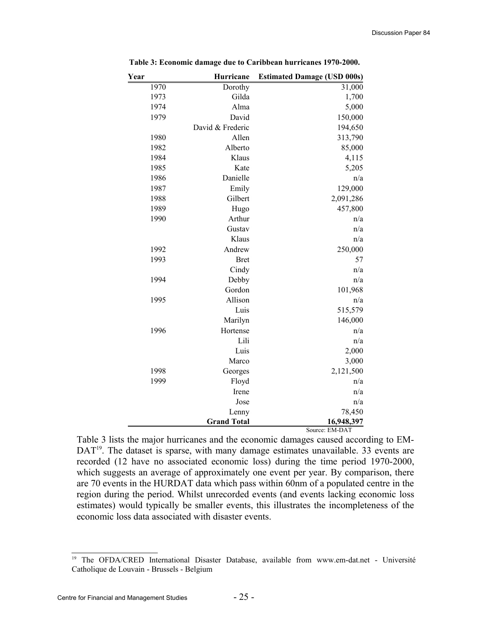| Year | Hurricane          | <b>Estimated Damage (USD 000s)</b> |
|------|--------------------|------------------------------------|
| 1970 | Dorothy            | 31,000                             |
| 1973 | Gilda              | 1,700                              |
| 1974 | Alma               | 5,000                              |
| 1979 | David              | 150,000                            |
|      | David & Frederic   | 194,650                            |
| 1980 | Allen              | 313,790                            |
| 1982 | Alberto            | 85,000                             |
| 1984 | Klaus              | 4,115                              |
| 1985 | Kate               | 5,205                              |
| 1986 | Danielle           | n/a                                |
| 1987 | Emily              | 129,000                            |
| 1988 | Gilbert            | 2,091,286                          |
| 1989 | Hugo               | 457,800                            |
| 1990 | Arthur             | n/a                                |
|      | Gustav             | n/a                                |
|      | Klaus              | n/a                                |
| 1992 | Andrew             | 250,000                            |
| 1993 | <b>Bret</b>        | 57                                 |
|      | Cindy              | n/a                                |
| 1994 | Debby              | n/a                                |
|      | Gordon             | 101,968                            |
| 1995 | Allison            | n/a                                |
|      | Luis               | 515,579                            |
|      | Marilyn            | 146,000                            |
| 1996 | Hortense           | n/a                                |
|      | Lili               | n/a                                |
|      | Luis               | 2,000                              |
|      | Marco              | 3,000                              |
| 1998 | Georges            | 2,121,500                          |
| 1999 | Floyd              | n/a                                |
|      | Irene              | n/a                                |
|      | Jose               | n/a                                |
|      | Lenny              | 78,450                             |
|      | <b>Grand Total</b> | 16,948,397                         |
|      |                    | Source: EM-DAT                     |

<span id="page-24-0"></span>**Table 3: Economic damage due to Caribbean hurricanes 1970-2000.** 

[Table 3](#page-24-0) lists the major hurricanes and the economic damages caused according to EM-DAT<sup>[19](#page-24-1)</sup>. The dataset is sparse, with many damage estimates unavailable. 33 events are recorded (12 have no associated economic loss) during the time period 1970-2000, which suggests an average of approximately one event per year. By comparison, there are 70 events in the HURDAT data which pass within 60nm of a populated centre in the region during the period. Whilst unrecorded events (and events lacking economic loss estimates) would typically be smaller events, this illustrates the incompleteness of the economic loss data associated with disaster events.

<span id="page-24-1"></span><sup>&</sup>lt;sup>19</sup> The OFDA/CRED International Disaster Database, available from www.em-dat.net - Université Catholique de Louvain - Brussels - Belgium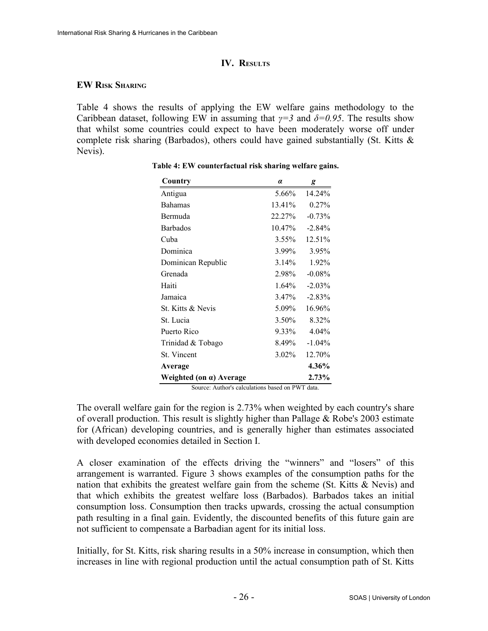### **IV. RESULTS**

### **EW RISK SHARING**

[Table 4](#page-25-1) shows the results of applying the EW welfare gains methodology to the Caribbean dataset, following EW in assuming that  $\gamma = 3$  and  $\delta = 0.95$ . The results show that whilst some countries could expect to have been moderately worse off under complete risk sharing (Barbados), others could have gained substantially (St. Kitts & Nevis).

| Country                         | $\alpha$ | g         |
|---------------------------------|----------|-----------|
| Antigua                         | 5.66%    | 14.24%    |
| <b>Bahamas</b>                  | 13.41%   | $0.27\%$  |
| Bermuda                         | 22.27%   | $-0.73%$  |
| <b>Barbados</b>                 | 10.47%   | $-2.84\%$ |
| Cuba                            | 3.55%    | 12.51%    |
| Dominica                        | 3.99%    | 3.95%     |
| Dominican Republic              | 3.14%    | 1.92%     |
| Grenada                         | 2.98%    | $-0.08%$  |
| Haiti                           | $1.64\%$ | $-2.03%$  |
| Jamaica                         | 3.47%    | $-2.83%$  |
| St. Kitts & Nevis               | 5.09%    | 16.96%    |
| St. Lucia                       | 3.50%    | 8.32%     |
| Puerto Rico                     | 9.33%    | 4.04%     |
| Trinidad & Tobago               | 8.49%    | $-1.04%$  |
| St. Vincent                     | 3.02%    | 12.70%    |
| Average                         |          | 4.36%     |
| Weighted (on $\alpha$ ) Average |          | 2.73%     |

<span id="page-25-1"></span>**Table 4: EW counterfactual risk sharing welfare gains.**

<span id="page-25-0"></span>Source: Author's calculations based on PWT data.

The overall welfare gain for the region is [2.73%](#page-25-0) when weighted by each country's share of overall production. This result is slightly higher than Pallage & Robe's 2003 estimate for (African) developing countries, and is generally higher than estimates associated with developed economies detailed in Section I.

A closer examination of the effects driving the "winners" and "losers" of this arrangement is warranted. [Figure 3](#page-26-0) shows examples of the consumption paths for the nation that exhibits the greatest welfare gain from the scheme (St. Kitts & Nevis) and that which exhibits the greatest welfare loss (Barbados). Barbados takes an initial consumption loss. Consumption then tracks upwards, crossing the actual consumption path resulting in a final gain. Evidently, the discounted benefits of this future gain are not sufficient to compensate a Barbadian agent for its initial loss.

Initially, for St. Kitts, risk sharing results in a 50% increase in consumption, which then increases in line with regional production until the actual consumption path of St. Kitts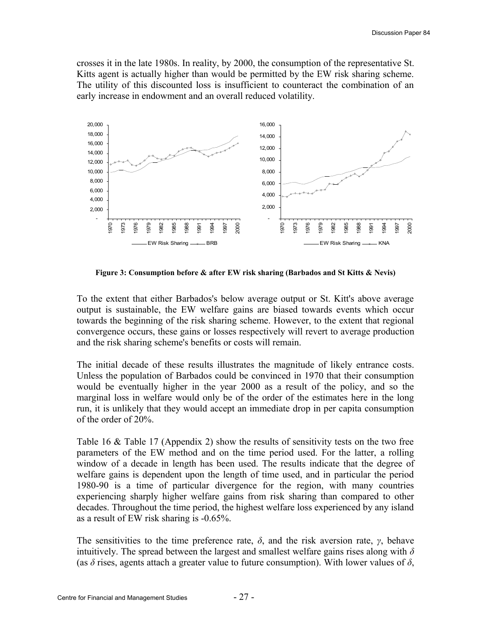crosses it in the late 1980s. In reality, by 2000, the consumption of the representative St. Kitts agent is actually higher than would be permitted by the EW risk sharing scheme. The utility of this discounted loss is insufficient to counteract the combination of an early increase in endowment and an overall reduced volatility.



<span id="page-26-0"></span>**Figure 3: Consumption before & after EW risk sharing (Barbados and St Kitts & Nevis)**

To the extent that either Barbados's below average output or St. Kitt's above average output is sustainable, the EW welfare gains are biased towards events which occur towards the beginning of the risk sharing scheme. However, to the extent that regional convergence occurs, these gains or losses respectively will revert to average production and the risk sharing scheme's benefits or costs will remain.

The initial decade of these results illustrates the magnitude of likely entrance costs. Unless the population of Barbados could be convinced in 1970 that their consumption would be eventually higher in the year 2000 as a result of the policy, and so the marginal loss in welfare would only be of the order of the estimates here in the long run, it is unlikely that they would accept an immediate drop in per capita consumption of the order of 20%.

[Table 16](#page-43-1) & [Table 17](#page-44-0) [\(Appendix 2\)](#page-43-0) show the results of sensitivity tests on the two free parameters of the EW method and on the time period used. For the latter, a rolling window of a decade in length has been used. The results indicate that the degree of welfare gains is dependent upon the length of time used, and in particular the period 1980-90 is a time of particular divergence for the region, with many countries experiencing sharply higher welfare gains from risk sharing than compared to other decades. Throughout the time period, the highest welfare loss experienced by any island as a result of EW risk sharing is -0.65%.

The sensitivities to the time preference rate,  $\delta$ , and the risk aversion rate,  $\gamma$ , behave intuitively. The spread between the largest and smallest welfare gains rises along with *δ* (as  $\delta$  rises, agents attach a greater value to future consumption). With lower values of  $\delta$ ,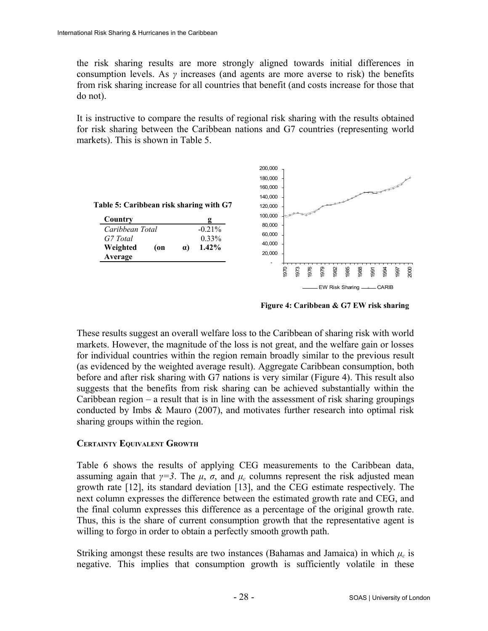the risk sharing results are more strongly aligned towards initial differences in consumption levels. As *γ* increases (and agents are more averse to risk) the benefits from risk sharing increase for all countries that benefit (and costs increase for those that do not).

It is instructive to compare the results of regional risk sharing with the results obtained for risk sharing between the Caribbean nations and G7 countries (representing world markets). This is shown in [Table 5.](#page-27-1)

<span id="page-27-1"></span>

| Table 5: Caribbean risk sharing with G7 |           |  |  |
|-----------------------------------------|-----------|--|--|
| Country                                 |           |  |  |
| Caribbean Total                         | $-0.21\%$ |  |  |
| G7 Total                                | 0.33%     |  |  |

**1.42%**

**Weighted (on α)**

**Average**



<span id="page-27-0"></span>**Figure 4: Caribbean & G7 EW risk sharing**

These results suggest an overall welfare loss to the Caribbean of sharing risk with world markets. However, the magnitude of the loss is not great, and the welfare gain or losses for individual countries within the region remain broadly similar to the previous result (as evidenced by the weighted average result). Aggregate Caribbean consumption, both before and after risk sharing with G7 nations is very similar [\(Figure 4\)](#page-27-0). This result also suggests that the benefits from risk sharing can be achieved substantially within the Caribbean region – a result that is in line with the assessment of risk sharing groupings conducted by Imbs & Mauro (2007), and motivates further research into optimal risk sharing groups within the region.

### **CERTAINTY EQUIVALENT GROWTH**

[Table 6](#page-28-0) shows the results of applying CEG measurements to the Caribbean data, assuming again that  $\gamma = 3$ . The  $\mu$ ,  $\sigma$ , and  $\mu_c$  columns represent the risk adjusted mean growth rate [12], its standard deviation [13], and the CEG estimate respectively. The next column expresses the difference between the estimated growth rate and CEG, and the final column expresses this difference as a percentage of the original growth rate. Thus, this is the share of current consumption growth that the representative agent is willing to forgo in order to obtain a perfectly smooth growth path.

Striking amongst these results are two instances (Bahamas and Jamaica) in which  $\mu_c$  is negative. This implies that consumption growth is sufficiently volatile in these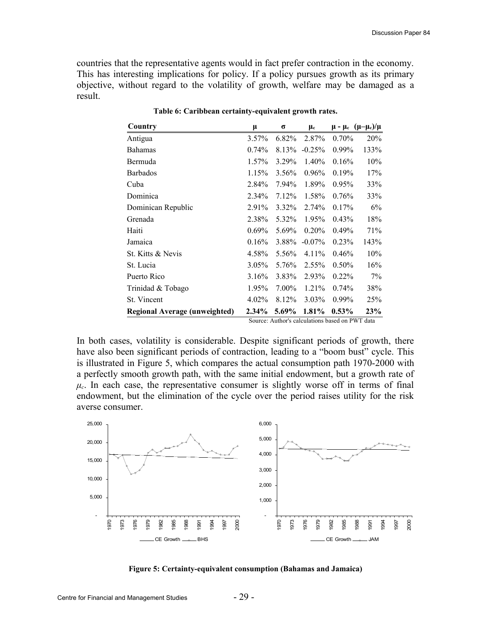countries that the representative agents would in fact prefer contraction in the economy. This has interesting implications for policy. If a policy pursues growth as its primary objective, without regard to the volatility of growth, welfare may be damaged as a result.

| μ        | σ        | $\mu_c$   |          | $\mu$ - $\mu_c$ ( $\mu-\mu_c$ )/ $\mu$ |
|----------|----------|-----------|----------|----------------------------------------|
| 3.57%    | 6.82%    | 2.87%     | 0.70%    | 20%                                    |
| 0.74%    | 8.13%    | $-0.25%$  | $0.99\%$ | 133%                                   |
| 1.57%    | 3.29%    | 1.40%     | 0.16%    | 10%                                    |
| 1.15%    | 3.56%    | $0.96\%$  | 0.19%    | 17%                                    |
| 2.84%    | 7.94%    | 1.89%     | $0.95\%$ | 33%                                    |
| 2.34%    | 7.12%    | 1.58%     | 0.76%    | 33%                                    |
| 2.91%    | $3.32\%$ | 2.74%     | 0.17%    | 6%                                     |
| 2.38%    | 5.32%    | 1.95%     | $0.43\%$ | 18%                                    |
| $0.69\%$ | 5.69%    | $0.20\%$  | $0.49\%$ | 71%                                    |
| 0.16%    | 3.88%    | $-0.07\%$ | 0.23%    | 143%                                   |
| 4.58%    | 5.56%    | $4.11\%$  | 0.46%    | 10%                                    |
| $3.05\%$ | 5.76%    | 2.55%     | $0.50\%$ | 16%                                    |
| 3.16%    | 3.83%    | 2.93%     | $0.22\%$ | 7%                                     |
| 1.95%    | 7.00%    | 1.21%     | $0.74\%$ | 38%                                    |
| 4.02%    | 8.12%    | $3.03\%$  | $0.99\%$ | 25%                                    |
| $2.34\%$ | 5.69%    | 1.81%     | $0.53\%$ | <b>23%</b>                             |
|          |          |           |          |                                        |

<span id="page-28-0"></span>**Table 6: Caribbean certainty-equivalent growth rates.**

Source: Author's calculations based on PWT data

In both cases, volatility is considerable. Despite significant periods of growth, there have also been significant periods of contraction, leading to a "boom bust" cycle. This is illustrated in [Figure 5,](#page-28-1) which compares the actual consumption path 1970-2000 with a perfectly smooth growth path, with the same initial endowment, but a growth rate of  $\mu_c$ . In each case, the representative consumer is slightly worse off in terms of final endowment, but the elimination of the cycle over the period raises utility for the risk averse consumer.



<span id="page-28-1"></span>**Figure 5: Certainty-equivalent consumption (Bahamas and Jamaica)**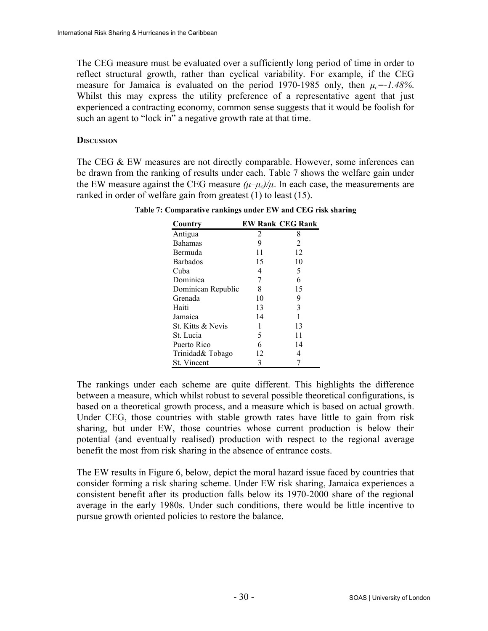The CEG measure must be evaluated over a sufficiently long period of time in order to reflect structural growth, rather than cyclical variability. For example, if the CEG measure for Jamaica is evaluated on the period 1970-1985 only, then  $\mu_c = 1.48\%$ . Whilst this may express the utility preference of a representative agent that just experienced a contracting economy, common sense suggests that it would be foolish for such an agent to "lock in" a negative growth rate at that time.

#### **DISCUSSION**

The CEG & EW measures are not directly comparable. However, some inferences can be drawn from the ranking of results under each. [Table 7](#page-29-0) shows the welfare gain under the EW measure against the CEG measure  $(\mu-\mu_c)/\mu$ . In each case, the measurements are ranked in order of welfare gain from greatest (1) to least (15).

| Country            |    | <b>EW Rank CEG Rank</b> |
|--------------------|----|-------------------------|
| Antigua            | 2  | 8                       |
| <b>Bahamas</b>     | 9  | $\mathfrak{D}$          |
| Bermuda            | 11 | 12                      |
| <b>Barbados</b>    | 15 | 10                      |
| Cuba               | 4  | 5                       |
| Dominica           | 7  | 6                       |
| Dominican Republic | 8  | 15                      |
| Grenada            | 10 | 9                       |
| Haiti              | 13 | 3                       |
| Jamaica            | 14 | 1                       |
| St. Kitts & Nevis  |    | 13                      |
| St. Lucia          | 5  | 11                      |
| Puerto Rico        | 6  | 14                      |
| Trinidad& Tobago   | 12 | 4                       |
| St. Vincent        | 3  |                         |

<span id="page-29-0"></span>**Table 7: Comparative rankings under EW and CEG risk sharing**

The rankings under each scheme are quite different. This highlights the difference between a measure, which whilst robust to several possible theoretical configurations, is based on a theoretical growth process, and a measure which is based on actual growth. Under CEG, those countries with stable growth rates have little to gain from risk sharing, but under EW, those countries whose current production is below their potential (and eventually realised) production with respect to the regional average benefit the most from risk sharing in the absence of entrance costs.

The EW results in Figure 6, below, depict the moral hazard issue faced by countries that consider forming a risk sharing scheme. Under EW risk sharing, Jamaica experiences a consistent benefit after its production falls below its 1970-2000 share of the regional average in the early 1980s. Under such conditions, there would be little incentive to pursue growth oriented policies to restore the balance.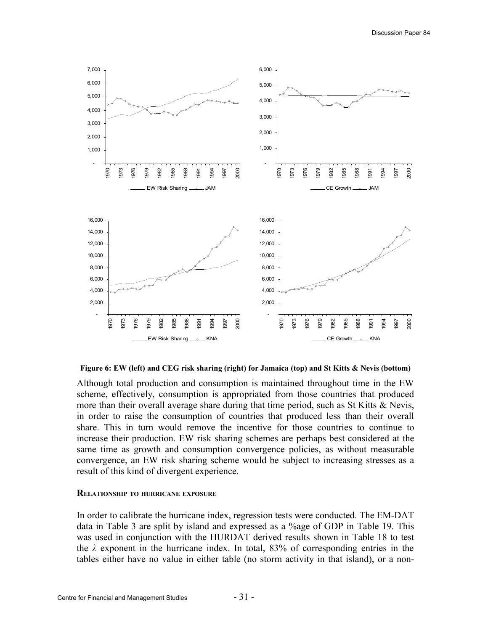

**Figure 6: EW (left) and CEG risk sharing (right) for Jamaica (top) and St Kitts & Nevis (bottom)**

Although total production and consumption is maintained throughout time in the EW scheme, effectively, consumption is appropriated from those countries that produced more than their overall average share during that time period, such as St Kitts & Nevis, in order to raise the consumption of countries that produced less than their overall share. This in turn would remove the incentive for those countries to continue to increase their production. EW risk sharing schemes are perhaps best considered at the same time as growth and consumption convergence policies, as without measurable convergence, an EW risk sharing scheme would be subject to increasing stresses as a result of this kind of divergent experience.

#### **RELATIONSHIP TO HURRICANE EXPOSURE**

In order to calibrate the hurricane index, regression tests were conducted. The EM-DAT data in [Table 3](#page-24-0) are split by island and expressed as a %age of GDP in [Table 19.](#page-46-0) This was used in conjunction with the HURDAT derived results shown in [Table 18](#page-45-0) to test the *λ* exponent in the hurricane index. In total, 83% of corresponding entries in the tables either have no value in either table (no storm activity in that island), or a non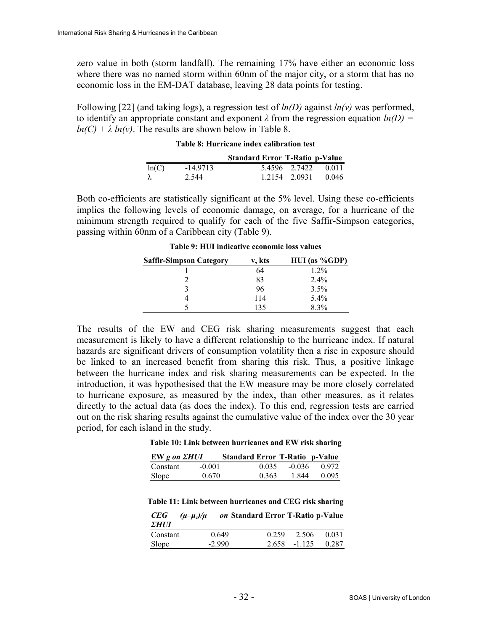zero value in both (storm landfall). The remaining 17% have either an economic loss where there was no named storm within 60nm of the major city, or a storm that has no economic loss in the EM-DAT database, leaving 28 data points for testing.

Following [22] (and taking logs), a regression test of *ln(D)* against *ln(v)* was performed, to identify an appropriate constant and exponent  $\lambda$  from the regression equation  $ln(D)$  =  $ln(C) + \lambda ln(v)$ . The results are shown below in [Table 8.](#page-31-1)

|       |            | <b>Standard Error T-Ratio p-Value</b> |               |                     |
|-------|------------|---------------------------------------|---------------|---------------------|
| ln(C) | $-14.9713$ |                                       |               | 5.4596 2.7422 0.011 |
| λ     | 2.544      |                                       | 1.2154 2.0931 | 0.046               |

#### <span id="page-31-1"></span>**Table 8: Hurricane index calibration test**

Both co-efficients are statistically significant at the 5% level. Using these co-efficients implies the following levels of economic damage, on average, for a hurricane of the minimum strength required to qualify for each of the five Saffir-Simpson categories, passing within 60nm of a Caribbean city [\(Table 9\)](#page-31-0).

| <b>Saffir-Simpson Category</b> | v, kts | $HUI$ (as %GDP) |
|--------------------------------|--------|-----------------|
|                                | 64     | $1.2\%$         |
|                                | 83     | 2.4%            |
|                                | 96     | 3.5%            |
|                                | 114    | $5.4\%$         |
|                                | 135    | 8.3%            |

<span id="page-31-0"></span>**Table 9: HUI indicative economic loss values**

The results of the EW and CEG risk sharing measurements suggest that each measurement is likely to have a different relationship to the hurricane index. If natural hazards are significant drivers of consumption volatility then a rise in exposure should be linked to an increased benefit from sharing this risk. Thus, a positive linkage between the hurricane index and risk sharing measurements can be expected. In the introduction, it was hypothesised that the EW measure may be more closely correlated to hurricane exposure, as measured by the index, than other measures, as it relates directly to the actual data (as does the index). To this end, regression tests are carried out on the risk sharing results against the cumulative value of the index over the 30 year period, for each island in the study.

**Table 10: Link between hurricanes and EW risk sharing**

| EW g on <i><b>EHUI</b></i> |          | <b>Standard Error T-Ratio p-Value</b> |      |                |
|----------------------------|----------|---------------------------------------|------|----------------|
| Constant                   | $-0.001$ | 0.035                                 |      | $-0.036$ 0.972 |
| Slope                      | 0.670    | 0.363                                 | 1844 | 0.095          |

**Table 11: Link between hurricanes and CEG risk sharing**

| CEG<br>ΣHUI | $(\mu-\mu_c)/\mu$ | on Standard Error T-Ratio p-Value |                          |
|-------------|-------------------|-----------------------------------|--------------------------|
| Constant    | 0.649             | 0.259                             | 2.506<br>0.031           |
| Slope       | $-2990$           |                                   | $2.658 - 1.125$<br>0.287 |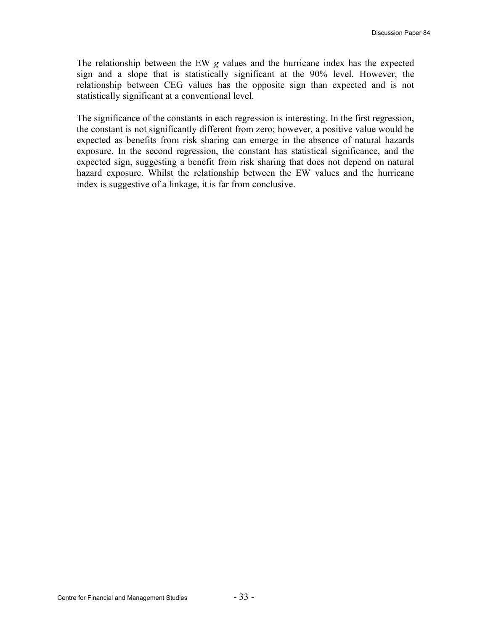The relationship between the EW *g* values and the hurricane index has the expected sign and a slope that is statistically significant at the 90% level. However, the relationship between CEG values has the opposite sign than expected and is not statistically significant at a conventional level.

The significance of the constants in each regression is interesting. In the first regression, the constant is not significantly different from zero; however, a positive value would be expected as benefits from risk sharing can emerge in the absence of natural hazards exposure. In the second regression, the constant has statistical significance, and the expected sign, suggesting a benefit from risk sharing that does not depend on natural hazard exposure. Whilst the relationship between the EW values and the hurricane index is suggestive of a linkage, it is far from conclusive.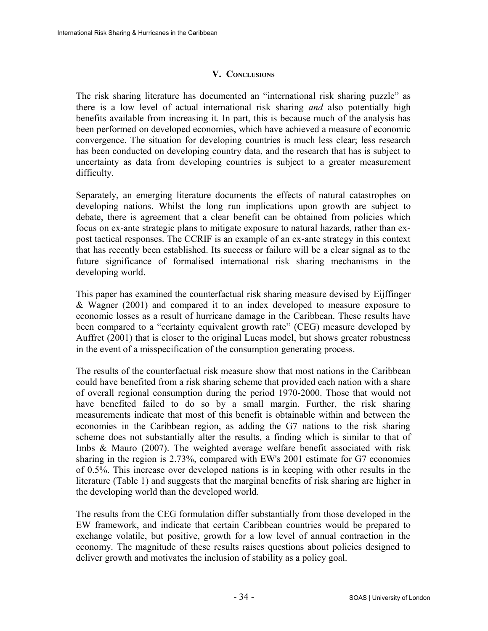## **V. CONCLUSIONS**

The risk sharing literature has documented an "international risk sharing puzzle" as there is a low level of actual international risk sharing *and* also potentially high benefits available from increasing it. In part, this is because much of the analysis has been performed on developed economies, which have achieved a measure of economic convergence. The situation for developing countries is much less clear; less research has been conducted on developing country data, and the research that has is subject to uncertainty as data from developing countries is subject to a greater measurement difficulty.

Separately, an emerging literature documents the effects of natural catastrophes on developing nations. Whilst the long run implications upon growth are subject to debate, there is agreement that a clear benefit can be obtained from policies which focus on ex-ante strategic plans to mitigate exposure to natural hazards, rather than expost tactical responses. The CCRIF is an example of an ex-ante strategy in this context that has recently been established. Its success or failure will be a clear signal as to the future significance of formalised international risk sharing mechanisms in the developing world.

This paper has examined the counterfactual risk sharing measure devised by Eijffinger & Wagner (2001) and compared it to an index developed to measure exposure to economic losses as a result of hurricane damage in the Caribbean. These results have been compared to a "certainty equivalent growth rate" (CEG) measure developed by Auffret (2001) that is closer to the original Lucas model, but shows greater robustness in the event of a misspecification of the consumption generating process.

The results of the counterfactual risk measure show that most nations in the Caribbean could have benefited from a risk sharing scheme that provided each nation with a share of overall regional consumption during the period 1970-2000. Those that would not have benefited failed to do so by a small margin. Further, the risk sharing measurements indicate that most of this benefit is obtainable within and between the economies in the Caribbean region, as adding the G7 nations to the risk sharing scheme does not substantially alter the results, a finding which is similar to that of Imbs & Mauro (2007). The weighted average welfare benefit associated with risk sharing in the region is [2.73%](#page-25-0), compared with EW's 2001 estimate for G7 economies of 0.5%. This increase over developed nations is in keeping with other results in the literature [\(Table 1\)](#page-13-0) and suggests that the marginal benefits of risk sharing are higher in the developing world than the developed world.

The results from the CEG formulation differ substantially from those developed in the EW framework, and indicate that certain Caribbean countries would be prepared to exchange volatile, but positive, growth for a low level of annual contraction in the economy. The magnitude of these results raises questions about policies designed to deliver growth and motivates the inclusion of stability as a policy goal.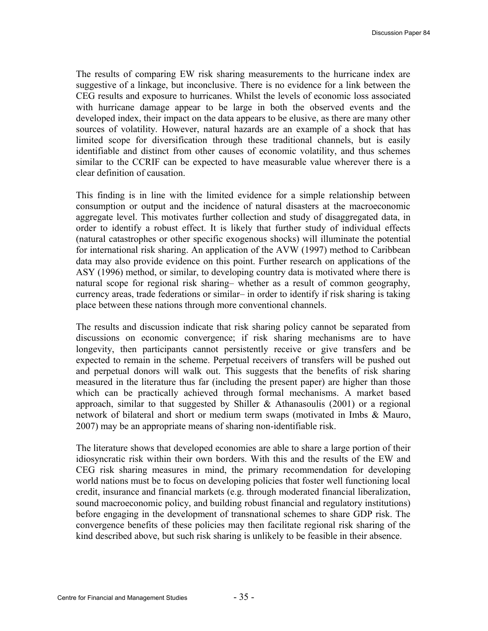The results of comparing EW risk sharing measurements to the hurricane index are suggestive of a linkage, but inconclusive. There is no evidence for a link between the CEG results and exposure to hurricanes. Whilst the levels of economic loss associated with hurricane damage appear to be large in both the observed events and the developed index, their impact on the data appears to be elusive, as there are many other sources of volatility. However, natural hazards are an example of a shock that has limited scope for diversification through these traditional channels, but is easily identifiable and distinct from other causes of economic volatility, and thus schemes similar to the CCRIF can be expected to have measurable value wherever there is a clear definition of causation.

This finding is in line with the limited evidence for a simple relationship between consumption or output and the incidence of natural disasters at the macroeconomic aggregate level. This motivates further collection and study of disaggregated data, in order to identify a robust effect. It is likely that further study of individual effects (natural catastrophes or other specific exogenous shocks) will illuminate the potential for international risk sharing. An application of the AVW (1997) method to Caribbean data may also provide evidence on this point. Further research on applications of the ASY (1996) method, or similar, to developing country data is motivated where there is natural scope for regional risk sharing– whether as a result of common geography, currency areas, trade federations or similar– in order to identify if risk sharing is taking place between these nations through more conventional channels.

The results and discussion indicate that risk sharing policy cannot be separated from discussions on economic convergence; if risk sharing mechanisms are to have longevity, then participants cannot persistently receive or give transfers and be expected to remain in the scheme. Perpetual receivers of transfers will be pushed out and perpetual donors will walk out. This suggests that the benefits of risk sharing measured in the literature thus far (including the present paper) are higher than those which can be practically achieved through formal mechanisms. A market based approach, similar to that suggested by Shiller  $\&$  Athanasoulis (2001) or a regional network of bilateral and short or medium term swaps (motivated in Imbs & Mauro, 2007) may be an appropriate means of sharing non-identifiable risk.

The literature shows that developed economies are able to share a large portion of their idiosyncratic risk within their own borders. With this and the results of the EW and CEG risk sharing measures in mind, the primary recommendation for developing world nations must be to focus on developing policies that foster well functioning local credit, insurance and financial markets (e.g. through moderated financial liberalization, sound macroeconomic policy, and building robust financial and regulatory institutions) before engaging in the development of transnational schemes to share GDP risk. The convergence benefits of these policies may then facilitate regional risk sharing of the kind described above, but such risk sharing is unlikely to be feasible in their absence.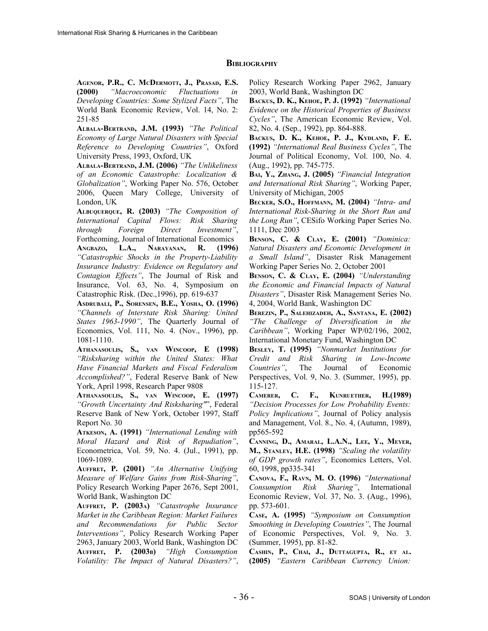#### **BIBLIOGRAPHY**

**AGENOR, P.R., C. MCDERMOTT, J., PRASAD, E.S. (2000)** *"Macroeconomic Fluctuations in Developing Countries: Some Stylized Facts"*, The World Bank Economic Review, Vol. 14, No. 2: 251-85

**ALBALA-BERTRAND, J.M. (1993)** *"The Political Economy of Large Natural Disasters with Special Reference to Developing Countries"*, Oxford University Press, 1993, Oxford, UK

**ALBALA-BERTRAND, J.M. (2006)** *"The Unlikeliness of an Economic Catastrophe: Localization & Globalization"*, Working Paper No. 576, October 2006, Queen Mary College, University of London, UK

**ALBUQUERQUE, R. (2003)** *"The Composition of International Capital Flows: Risk Sharing through Foreign Direct Investment"*, Forthcoming, Journal of International Economics

**ANGBAZO, L.A., NARAYANAN, R. (1996)** *"Catastrophic Shocks in the Property-Liability Insurance Industry: Evidence on Regulatory and Contagion Effects"*, The Journal of Risk and Insurance, Vol. 63, No. 4, Symposium on Catastrophic Risk. (Dec.,1996), pp. 619-637

**ASDRUBALI, P., SORENSEN, B.E., YOSHA, O. (1996)** *"Channels of Interstate Risk Sharing: United States 1963-1990"*, The Quarterly Journal of Economics, Vol. 111, No. 4. (Nov., 1996), pp. 1081-1110.

**ATHANASOULIS, S., VAN WINCOOP, E (1998)** *"Risksharing within the United States: What Have Financial Markets and Fiscal Federalism Accomplished?"*, Federal Reserve Bank of New York, April 1998, Research Paper 9808

**ATHANASOULIS, S., VAN WINCOOP, E. (1997)** *"Growth Uncertainty And Risksharing"*", Federal Reserve Bank of New York, October 1997, Staff Report No. 30

**ATKESON, A. (1991)** *"International Lending with Moral Hazard and Risk of Repudiation"*, Econometrica, Vol. 59, No. 4. (Jul., 1991), pp. 1069-1089.

**AUFFRET, P. (2001)** *"An Alternative Unifying Measure of Welfare Gains from Risk-Sharing"*, Policy Research Working Paper 2676, Sept 2001, World Bank, Washington DC

**AUFFRET, P. (2003A)** *"Catastrophe Insurance Market in the Caribbean Region: Market Failures and Recommendations for Public Sector Interventions"*, Policy Research Working Paper 2963, January 2003, World Bank, Washington DC **AUFFRET, P. (2003B)** *"High Consumption Volatility: The Impact of Natural Disasters?"*,

Policy Research Working Paper 2962, January 2003, World Bank, Washington DC

**BACKUS, D. K., KEHOE, P. J. (1992)** *"International Evidence on the Historical Properties of Business Cycles"*, The American Economic Review, Vol. 82, No. 4. (Sep., 1992), pp. 864-888.

**BACKUS, D. K., KEHOE, P. J., KYDLAND, F. E. (1992)** *"International Real Business Cycles"*, The Journal of Political Economy, Vol. 100, No. 4. (Aug., 1992), pp. 745-775.

**BAI, Y., ZHANG, J. (2005)** *"Financial Integration and International Risk Sharing"*, Working Paper, University of Michigan, 2005

**BECKER, S.O., HOFFMANN, M. (2004)** *"Intra- and International Risk-Sharing in the Short Run and the Long Run"*, CESifo Working Paper Series No. 1111, Dec 2003

**BENSON, C. & CLAY, E. (2001)** *"Dominica: Natural Disasters and Economic Development in a Small Island"*, Disaster Risk Management Working Paper Series No. 2, October 2001

**BENSON, C. & CLAY, E. (2004)** *"Understanding the Economic and Financial Impacts of Natural Disasters"*, Disaster Risk Management Series No. 4, 2004, World Bank, Washington DC

**BEREZIN, P., SALEHIZADEH, A., SANTANA, E. (2002)** *"The Challenge of Diversification in the Caribbean"*, Working Paper WP/02/196, 2002, International Monetary Fund, Washington DC

**BESLEY, T. (1995)** *"Nonmarket Institutions for Credit and Risk Sharing in Low-Income Countries"*, The Journal of Economic Perspectives, Vol. 9, No. 3. (Summer, 1995), pp. 115-127.

**CAMERER, C. F., KUNRUETHER, H.(1989)** *"Decision Processes for Low Probability Events: Policy Implications"*, Journal of Policy analysis and Management, Vol. 8., No. 4, (Autumn, 1989), pp565-592

**CANNING, D., AMARAL, L.A.N., LEE, Y., MEYER, M., STANLEY, H.E. (1998)** *"Scaling the volatility of GDP growth rates"*, Economics Letters, Vol. 60, 1998, pp335-341

**CANOVA, F., RAVN, M. O. (1996)** *"International Consumption Risk Sharing"*, International Economic Review, Vol. 37, No. 3. (Aug., 1996), pp. 573-601.

**CASE, A. (1995)** *"Symposium on Consumption Smoothing in Developing Countries"*, The Journal of Economic Perspectives, Vol. 9, No. 3. (Summer, 1995), pp. 81-82.

**CASHIN, P., CHAI, J., DUTTAGUPTA, R., ET AL. (2005)** *"Eastern Caribbean Currency Union:*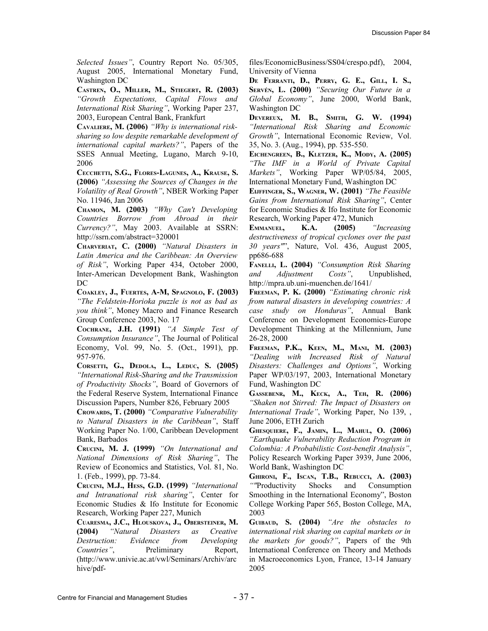*Selected Issues"*, Country Report No. 05/305, August 2005, International Monetary Fund, Washington DC

**CASTREN, O., MILLER, M., STIEGERT, R. (2003)** *"Growth Expectations, Capital Flows and International Risk Sharing"*, Working Paper 237, 2003, European Central Bank, Frankfurt

**CAVALIERE, M. (2006)** *"Why is international risksharing so low despite remarkable development of international capital markets?"*, Papers of the SSES Annual Meeting, Lugano, March 9-10, 2006

**CECCHETTI, S.G., FLORES-LAGUNES, A., KRAUSE, S. (2006)** *"Assessing the Sources of Changes in the Volatility of Real Growth"*, NBER Working Paper No. 11946, Jan 2006

**CHAMON, M. (2003)** *"Why Can't Developing Countries Borrow from Abroad in their Currency?"*, May 2003. Available at SSRN: http://ssrn.com/abstract=320001

**CHARVERIAT, C. (2000)** *"Natural Disasters in Latin America and the Caribbean: An Overview of Risk"*, Working Paper 434, October 2000, Inter-American Development Bank, Washington DC

**COAKLEY, J., FUERTES, A-M, SPAGNOLO, F. (2003)** *"The Feldstein-Horioka puzzle is not as bad as you think"*, Money Macro and Finance Research Group Conference 2003, No. 17

**COCHRANE, J.H. (1991)** *"A Simple Test of Consumption Insurance"*, The Journal of Political Economy, Vol. 99, No. 5. (Oct., 1991), pp. 957-976.

**CORSETTI, G., DEDOLA, L., LEDUC, S. (2005)** *"International Risk-Sharing and the Transmission of Productivity Shocks"*, Board of Governors of the Federal Reserve System, International Finance Discussion Papers, Number 826, February 2005

**CROWARDS, T. (2000)** *"Comparative Vulnerability to Natural Disasters in the Caribbean"*, Staff Working Paper No. 1/00, Caribbean Development Bank, Barbados

**CRUCINI, M. J. (1999)** *"On International and National Dimensions of Risk Sharing"*, The Review of Economics and Statistics, Vol. 81, No. 1. (Feb., 1999), pp. 73-84.

**CRUCINI, M.J., HESS, G.D. (1999)** *"International and Intranational risk sharing"*, Center for Economic Studies & Ifo Institute for Economic Research, Working Paper 227, Munich

**CUARESMA, J.C., HLOUSKOVA, J., OBERSTEINER, M. (2004)** *"Natural Disasters as Creative Destruction: Evidence from Developing Countries"*, Preliminary Report, (http://www.univie.ac.at/vwl/Seminars/Archiv/arc hive/pdffiles/EconomicBusiness/SS04/crespo.pdf), 2004, University of Vienna

**DE FERRANTI, D., PERRY, G. E., GILL, I. S., SERVÉN, L. (2000)** *"Securing Our Future in a Global Economy"*, June 2000, World Bank, Washington DC

**DEVEREUX, M. B., SMITH, G. W. (1994)** *"International Risk Sharing and Economic Growth"*, International Economic Review, Vol. 35, No. 3. (Aug., 1994), pp. 535-550.

**EICHENGREEN, B., KLETZER, K., MODY, A. (2005)** *"The IMF in a World of Private Capital Markets"*, Working Paper WP/05/84, 2005, International Monetary Fund, Washington DC

**EIJFFINGER, S., WAGNER, W. (2001)** *"The Feasible Gains from International Risk Sharing"*, Center for Economic Studies & Ifo Institute for Economic Research, Working Paper 472, Munich

**EMMANUEL, K.A. (2005)** *"Increasing destructiveness of tropical cyclones over the past 30 years"*", Nature, Vol. 436, August 2005, pp686-688

**FANELLI, L. (2004)** *"Consumption Risk Sharing and Adjustment Costs"*, Unpublished, http://mpra.ub.uni-muenchen.de/1641/

**FREEMAN, P. K. (2000)** *"Estimating chronic risk from natural disasters in developing countries: A case study on Honduras"*, Annual Bank Conference on Development Economics-Europe Development Thinking at the Millennium, June 26-28, 2000

**FREEMAN, P.K., KEEN, M., MANI, M. (2003)** *"Dealing with Increased Risk of Natural Disasters: Challenges and Options"*, Working Paper WP/03/197, 2003, International Monetary Fund, Washington DC

**GASSEBENR, M., KECK, A., TEH, R. (2006)** *"Shaken not Stirred: The Impact of Disasters on International Trade"*, Working Paper, No 139, , June 2006, ETH Zurich

**GHESQUIERE, F., JAMIN, L., MAHUL, O. (2006)** *"Earthquake Vulnerability Reduction Program in Colombia: A Probabilistic Cost-benefit Analysis"*, Policy Research Working Paper 3939, June 2006, World Bank, Washington DC

**GHIRONI, F., ISCAN, T.B., REBUCCI, A. (2003)** *""*Productivity Shocks and Consumption Smoothing in the International Economy", Boston College Working Paper 565, Boston College, MA, 2003

**GUIBAUD, S. (2004)** *"Are the obstacles to international risk sharing on capital markets or in the markets for goods?"*, Papers of the 9th International Conference on Theory and Methods in Macroeconomics Lyon, France, 13-14 January 2005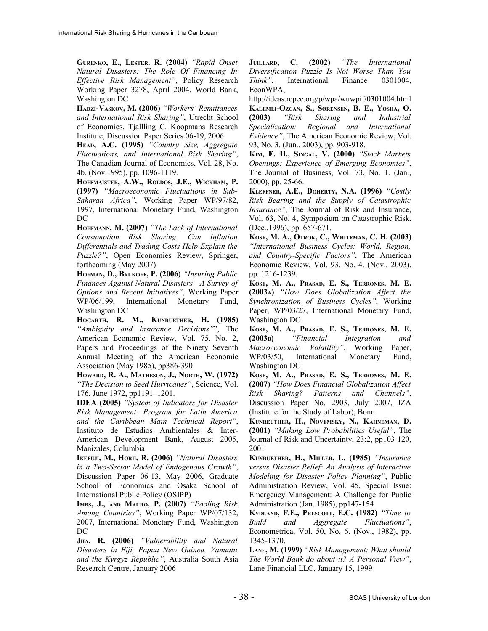**GURENKO, E., LESTER. R. (2004)** *"Rapid Onset Natural Disasters: The Role Of Financing In Effective Risk Management"*, Policy Research Working Paper 3278, April 2004, World Bank, Washington DC

**HADZI-VASKOV, M. (2006)** *"Workers' Remittances and International Risk Sharing"*, Utrecht School of Economics, Tjallling C. Koopmans Research Institute, Discussion Paper Series 06-19, 2006

**HEAD, A.C. (1995)** *"Country Size, Aggregate Fluctuations, and International Risk Sharing"*, The Canadian Journal of Economics, Vol. 28, No. 4b. (Nov.1995), pp. 1096-1119.

**HOFFMAISTER, A.W., ROLDOS, J.E., WICKHAM, P. (1997)** *"Macroeconomic Fluctuations in Sub-Saharan Africa"*, Working Paper WP/97/82, 1997, International Monetary Fund, Washington DC

**HOFFMANN, M. (2007)** *"The Lack of International Consumption Risk Sharing: Can Inflation Differentials and Trading Costs Help Explain the Puzzle?"*, Open Economies Review, Springer, forthcoming (May 2007)

**HOFMAN, D., BRUKOFF, P. (2006)** *"Insuring Public Finances Against Natural Disasters—A Survey of Options and Recent Initiatives"*, Working Paper WP/06/199, International Monetary Fund, Washington DC

**HOGARTH, R. M., KUNRUETHER, H. (1985)** *"Ambiguity and Insurance Decisions"*", The American Economic Review, Vol. 75, No. 2, Papers and Proceedings of the Ninety Seventh Annual Meeting of the American Economic Association (May 1985), pp386-390

**HOWARD, R. A., MATHESON, J., NORTH, W. (1972)** *"The Decision to Seed Hurricanes"*, Science, Vol. 176, June 1972, pp1191–1201.

**IDEA (2005)** *"System of Indicators for Disaster Risk Management: Program for Latin America and the Caribbean Main Technical Report"*, Instituto de Estudios Ambientales & Inter-American Development Bank, August 2005, Manizales, Columbia

**IKEFUJI, M., HORII, R. (2006)** *"Natural Disasters in a Two-Sector Model of Endogenous Growth"*, Discussion Paper 06-13, May 2006, Graduate School of Economics and Osaka School of International Public Policy (OSIPP)

**IMBS, J., AND MAURO, P. (2007)** *"Pooling Risk Among Countries"*, Working Paper WP/07/132, 2007, International Monetary Fund, Washington DC

**JHA, R. (2006)** *"Vulnerability and Natural Disasters in Fiji, Papua New Guinea, Vanuatu and the Kyrgyz Republic"*, Australia South Asia Research Centre, January 2006

**JUILLARD, C. (2002)** *"The International Diversification Puzzle Is Not Worse Than You* International Finance 0301004. EconWPA,

http://ideas.repec.org/p/wpa/wuwpif/0301004.html **KALEMLI-OZCAN, S., SØRENSEN, B. E., YOSHA, O. (2003)** *"Risk Sharing and Industrial Specialization: Regional and International Evidence"*, The American Economic Review, Vol. 93, No. 3. (Jun., 2003), pp. 903-918.

**KIM, E. H., SINGAL, V. (2000)** *"Stock Markets Openings: Experience of Emerging Economies"*, The Journal of Business, Vol. 73, No. 1. (Jan., 2000), pp. 25-66.

**KLEFFNER, A.E., DOHERTY, N.A. (1996)** *"Costly Risk Bearing and the Supply of Catastrophic Insurance"*, The Journal of Risk and Insurance, Vol. 63, No. 4, Symposium on Catastrophic Risk. (Dec.,1996), pp. 657-671.

**KOSE, M. A., OTROK, C., WHITEMAN, C. H. (2003)** *"International Business Cycles: World, Region, and Country-Specific Factors"*, The American Economic Review, Vol. 93, No. 4. (Nov., 2003), pp. 1216-1239.

**KOSE, M. A., PRASAD, E. S., TERRONES, M. E. (2003A)** *"How Does Globalization Affect the Synchronization of Business Cycles"*, Working Paper, WP/03/27, International Monetary Fund, Washington DC

**KOSE, M. A., PRASAD, E. S., TERRONES, M. E. (2003B)** *"Financial Integration and Macroeconomic Volatility"*, Working Paper, WP/03/50, International Monetary Fund, Washington DC

**KOSE, M. A., PRASAD, E. S., TERRONES, M. E. (2007)** *"How Does Financial Globalization Affect Risk Sharing? Patterns and Channels"*, Discussion Paper No. 2903, July 2007, IZA (Institute for the Study of Labor), Bonn

**KUNREUTHER, H., NOVEMSKY, N., KAHNEMAN, D. (2001)** *"Making Low Probabilities Useful"*, The Journal of Risk and Uncertainty, 23:2, pp103-120, 2001

**KUNRUETHER, H., MILLER, L. (1985)** *"Insurance versus Disaster Relief: An Analysis of Interactive Modeling for Disaster Policy Planning"*, Public Administration Review, Vol. 45, Special Issue: Emergency Management: A Challenge for Public Administration (Jan. 1985), pp147-154

**KYDLAND, F.E., PRESCOTT, E.C. (1982)** *"Time to Build and Aggregate Fluctuations"*, Econometrica, Vol. 50, No. 6. (Nov., 1982), pp. 1345-1370.

**LANE, M. (1999)** *"Risk Management: What should The World Bank do about it? A Personal View"*, Lane Financial LLC, January 15, 1999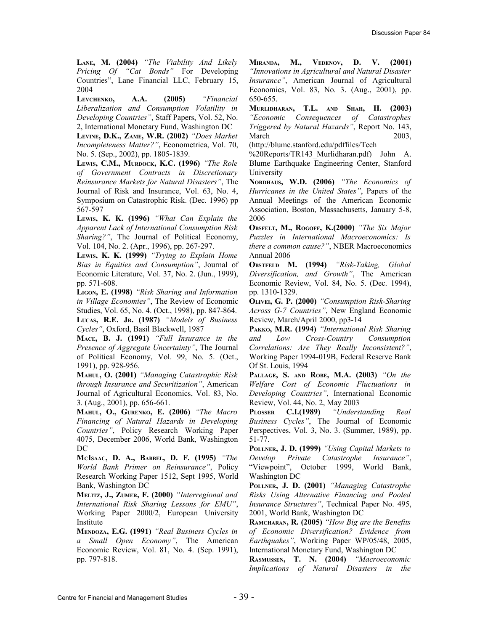**LANE, M. (2004)** *"The Viability And Likely Pricing Of "Cat Bonds"* For Developing Countries", Lane Financial LLC, February 15, 2004

**LEVCHENKO, A.A. (2005)** *"Financial Liberalization and Consumption Volatility in Developing Countries"*, Staff Papers, Vol. 52, No. 2, International Monetary Fund, Washington DC

**LEVINE, D.K., ZAME, W.R. (2002)** *"Does Market Incompleteness Matter?"*, Econometrica, Vol. 70, No. 5. (Sep., 2002), pp. 1805-1839.

**LEWIS, C.M., MURDOCK, K.C. (1996)** *"The Role of Government Contracts in Discretionary Reinsurance Markets for Natural Disasters"*, The Journal of Risk and Insurance, Vol. 63, No. 4, Symposium on Catastrophic Risk. (Dec. 1996) pp 567-597

**LEWIS, K. K. (1996)** *"What Can Explain the Apparent Lack of International Consumption Risk Sharing?"*, The Journal of Political Economy, Vol. 104, No. 2. (Apr., 1996), pp. 267-297.

**LEWIS, K. K. (1999)** *"Trying to Explain Home Bias in Equities and Consumption"*, Journal of Economic Literature, Vol. 37, No. 2. (Jun., 1999), pp. 571-608.

**LIGON, E. (1998)** *"Risk Sharing and Information in Village Economies"*, The Review of Economic Studies, Vol. 65, No. 4. (Oct., 1998), pp. 847-864. **LUCAS, R.E. JR. (1987)** *"Models of Business*

*Cycles"*, Oxford, Basil Blackwell, 1987

**MACE, B. J. (1991)** *"Full Insurance in the Presence of Aggregate Uncertainty"*, The Journal of Political Economy, Vol. 99, No. 5. (Oct., 1991), pp. 928-956.

**MAHUL, O. (2001)** *"Managing Catastrophic Risk through Insurance and Securitization"*, American Journal of Agricultural Economics, Vol. 83, No. 3. (Aug., 2001), pp. 656-661.

**MAHUL, O., GURENKO, E. (2006)** *"The Macro Financing of Natural Hazards in Developing Countries"*, Policy Research Working Paper 4075, December 2006, World Bank, Washington DC

**MCISAAC, D. A., BABBEL, D. F. (1995)** *"The World Bank Primer on Reinsurance"*, Policy Research Working Paper 1512, Sept 1995, World Bank, Washington DC

**MELITZ, J., ZUMER, F. (2000)** *"Interregional and International Risk Sharing Lessons for EMU"*, Working Paper 2000/2, European University Institute

**MENDOZA, E.G. (1991)** *"Real Business Cycles in a Small Open Economy"*, The American Economic Review, Vol. 81, No. 4. (Sep. 1991), pp. 797-818.

**MIRANDA, M., VEDENOV, D. V. (2001)** *"Innovations in Agricultural and Natural Disaster Insurance"*, American Journal of Agricultural Economics, Vol. 83, No. 3. (Aug., 2001), pp. 650-655.

**MURLIDHARAN, T.L. AND SHAH, H. (2003)** *"Economic Consequences of Catastrophes Triggered by Natural Hazards"*, Report No. 143, March 2003,

(http://blume.stanford.edu/pdffiles/Tech

%20Reports/TR143\_Murlidharan.pdf) John A. Blume Earthquake Engineering Center, Stanford University

**NORDHAUS, W.D. (2006)** *"The Economics of Hurricanes in the United States"*, Papers of the Annual Meetings of the American Economic Association, Boston, Massachusetts, January 5-8, 2006

**OBSFELT, M., ROGOFF, K.(2000)** *"The Six Major Puzzles in International Macroeconomics: Is there a common cause?"*, NBER Macroeconomics Annual 2006

**OBSTFELD M. (1994)** *"Risk-Taking, Global Diversification, and Growth"*, The American Economic Review, Vol. 84, No. 5. (Dec. 1994), pp. 1310-1329.

**OLIVEI, G. P. (2000)** *"Consumption Risk-Sharing Across G-7 Countries"*, New England Economic Review, March/April 2000, pp3-14

**PAKKO, M.R. (1994)** *"International Risk Sharing and Low Cross-Country Consumption Correlations: Are They Really Inconsistent?"*, Working Paper 1994-019B, Federal Reserve Bank Of St. Louis, 1994

**PALLAGE, S. AND ROBE, M.A. (2003)** *"On the Welfare Cost of Economic Fluctuations in Developing Countries"*, International Economic Review, Vol. 44, No. 2, May 2003

**PLOSSER C.I.(1989)** *"Understanding Real Business Cycles"*, The Journal of Economic Perspectives, Vol. 3, No. 3. (Summer, 1989), pp. 51-77.

**POLLNER, J. D. (1999)** *"Using Capital Markets to Develop Private Catastrophe Insurance"*, "Viewpoint", October 1999, World Bank, Washington DC

**POLLNER, J. D. (2001)** *"Managing Catastrophe Risks Using Alternative Financing and Pooled Insurance Structures"*, Technical Paper No. 495, 2001, World Bank, Washington DC

**RAMCHARAN, R. (2005)** *"How Big are the Benefits of Economic Diversification? Evidence from Earthquakes"*, Working Paper WP/05/48, 2005, International Monetary Fund, Washington DC

**RASMUSSEN, T. N. (2004)** *"Macroeconomic Implications of Natural Disasters in the*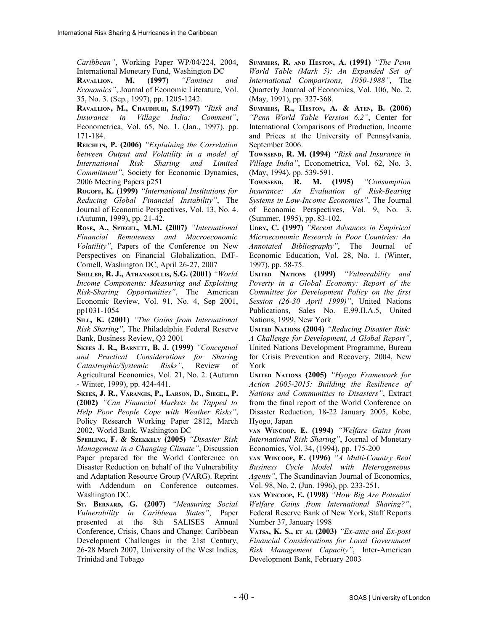*Caribbean"*, Working Paper WP/04/224, 2004, International Monetary Fund, Washington DC

**RAVALLION, M. (1997)** *"Famines and Economics"*, Journal of Economic Literature, Vol. 35, No. 3. (Sep., 1997), pp. 1205-1242.

**RAVALLION, M., CHAUDHURI, S.(1997)** *"Risk and Insurance in Village India: Comment"*, Econometrica, Vol. 65, No. 1. (Jan., 1997), pp. 171-184.

**REICHLIN, P. (2006)** *"Explaining the Correlation between Output and Volatility in a model of International Risk Sharing and Limited Commitment"*, Society for Economic Dynamics, 2006 Meeting Papers p251

**ROGOFF, K. (1999)** *"International Institutions for Reducing Global Financial Instability"*, The Journal of Economic Perspectives, Vol. 13, No. 4. (Autumn, 1999), pp. 21-42.

**ROSE, A., SPIEGEL, M.M. (2007)** *"International Financial Remoteness and Macroeconomic Volatility"*, Papers of the Conference on New Perspectives on Financial Globalization, IMF-Cornell, Washington DC, April 26-27, 2007

**SHILLER, R. J., ATHANASOULIS, S.G. (2001)** *"World Income Components: Measuring and Exploiting Risk-Sharing Opportunities"*, The American Economic Review, Vol. 91, No. 4, Sep 2001, pp1031-1054

**SILL, K. (2001)** *"The Gains from International Risk Sharing"*, The Philadelphia Federal Reserve Bank, Business Review, Q3 2001

**SKEES J. R., BARNETT, B. J. (1999)** *"Conceptual and Practical Considerations for Sharing Catastrophic/Systemic Risks"*, Review of Agricultural Economics, Vol. 21, No. 2. (Autumn - Winter, 1999), pp. 424-441.

**SKEES, J. R., VARANGIS, P., LARSON, D., SIEGEL, P. (2002)** *"Can Financial Markets be Tapped to Help Poor People Cope with Weather Risks"*, Policy Research Working Paper 2812, March 2002, World Bank, Washington DC

**SPERLING, F. & SZEKKELY (2005)** *"Disaster Risk Management in a Changing Climate"*, Discussion Paper prepared for the World Conference on Disaster Reduction on behalf of the Vulnerability and Adaptation Resource Group (VARG). Reprint with Addendum on Conference outcomes. Washington DC.

**ST. BERNARD, G. (2007)** *"Measuring Social Vulnerability in Caribbean States"*, Paper presented at the 8th SALISES Annual Conference, Crisis, Chaos and Change: Caribbean Development Challenges in the 21st Century, 26-28 March 2007, University of the West Indies, Trinidad and Tobago

**SUMMERS, R. AND HESTON, A. (1991)** *"The Penn World Table (Mark 5): An Expanded Set of International Comparisons, 1950-1988"*, The Quarterly Journal of Economics, Vol. 106, No. 2. (May, 1991), pp. 327-368.

**SUMMERS, R., HESTON, A. & ATEN, B. (2006)** *"Penn World Table Version 6.2"*, Center for International Comparisons of Production, Income and Prices at the University of Pennsylvania, September 2006.

**TOWNSEND, R. M. (1994)** *"Risk and Insurance in Village India"*, Econometrica, Vol. 62, No. 3. (May, 1994), pp. 539-591.

**TOWNSEND, R. M. (1995)** *"Consumption Insurance: An Evaluation of Risk-Bearing Systems in Low-Income Economies"*, The Journal of Economic Perspectives, Vol. 9, No. 3. (Summer, 1995), pp. 83-102.

**UDRY, C. (1997)** *"Recent Advances in Empirical Microeconomic Research in Poor Countries: An Annotated Bibliography"*, The Journal of Economic Education, Vol. 28, No. 1. (Winter, 1997), pp. 58-75.

**UNITED NATIONS (1999)** *"Vulnerability and Poverty in a Global Economy: Report of the Committee for Development Policy on the first Session (26-30 April 1999)"*, United Nations Publications, Sales No. E.99.II.A.5, United Nations, 1999, New York

**UNITED NATIONS (2004)** *"Reducing Disaster Risk: A Challenge for Development, A Global Report"*, United Nations Development Programme, Bureau for Crisis Prevention and Recovery, 2004, New York

**UNITED NATIONS (2005)** *"Hyogo Framework for Action 2005-2015: Building the Resilience of Nations and Communities to Disasters"*, Extract from the final report of the World Conference on Disaster Reduction, 18-22 January 2005, Kobe, Hyogo, Japan

**VAN WINCOOP, E. (1994)** *"Welfare Gains from International Risk Sharing"*, Journal of Monetary Economics, Vol. 34, (1994), pp. 175-200

**VAN WINCOOP, E. (1996)** *"A Multi-Country Real Business Cycle Model with Heterogeneous Agents"*, The Scandinavian Journal of Economics, Vol. 98, No. 2. (Jun. 1996), pp. 233-251.

**VAN WINCOOP, E. (1998)** *"How Big Are Potential Welfare Gains from International Sharing?"*, Federal Reserve Bank of New York, Staff Reports Number 37, January 1998

**VATSA, K. S., ET AL (2003)** *"Ex-ante and Ex-post Financial Considerations for Local Government Risk Management Capacity"*, Inter-American Development Bank, February 2003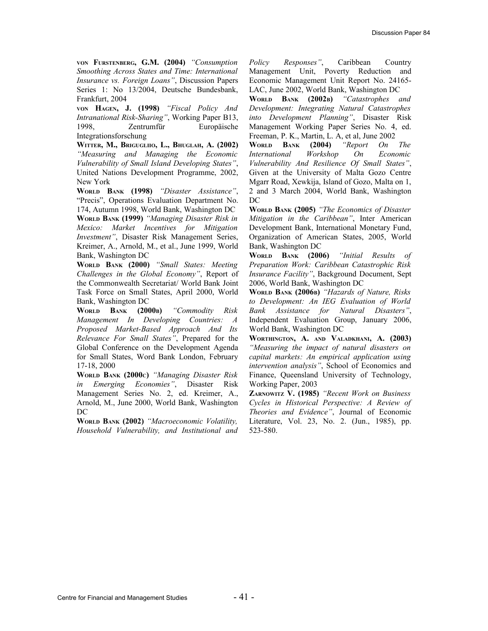**VON FURSTENBERG, G.M. (2004)** *"Consumption Smoothing Across States and Time: International Insurance vs. Foreign Loans"*, Discussion Papers Series 1: No 13/2004, Deutsche Bundesbank, Frankfurt, 2004

**VON HAGEN, J. (1998)** *"Fiscal Policy And Intranational Risk-Sharing"*, Working Paper B13, 1998, Zentrumfür Europäische Integrationsforschung

**WITTER, M., BRIGUGLIIO, L., BHUGLAH, A. (2002)** *"Measuring and Managing the Economic Vulnerability of Small Island Developing States"*, United Nations Development Programme, 2002, New York

**WORLD BANK (1998)** *"Disaster Assistance"*, "Precis", Operations Evaluation Department No. 174, Autumn 1998, World Bank, Washington DC **WORLD BANK (1999)** *"Managing Disaster Risk in Mexico: Market Incentives for Mitigation Investment"*, Disaster Risk Management Series, Kreimer, A., Arnold, M., et al., June 1999, World Bank, Washington DC

**WORLD BANK (2000)** *"Small States: Meeting Challenges in the Global Economy"*, Report of the Commonwealth Secretariat/ World Bank Joint Task Force on Small States, April 2000, World Bank, Washington DC

**WORLD BANK (2000B)** *"Commodity Risk Management In Developing Countries: A Proposed Market-Based Approach And Its Relevance For Small States"*, Prepared for the Global Conference on the Development Agenda for Small States, Word Bank London, February 17-18, 2000

**WORLD BANK (2000C)** *"Managing Disaster Risk in Emerging Economies"*, Disaster Risk Management Series No. 2, ed. Kreimer, A., Arnold, M., June 2000, World Bank, Washington DC

**WORLD BANK (2002)** *"Macroeconomic Volatility, Household Vulnerability, and Institutional and* *Policy Responses"*, Caribbean Country Management Unit, Poverty Reduction and Economic Management Unit Report No. 24165- LAC, June 2002, World Bank, Washington DC

**WORLD BANK (2002B)** *"Catastrophes and Development: Integrating Natural Catastrophes into Development Planning"*, Disaster Risk Management Working Paper Series No. 4, ed. Freeman, P. K., Martin, L. A, et al, June 2002

**WORLD BANK (2004)** *"Report On The International Workshop On Economic Vulnerability And Resilience Of Small States"*, Given at the University of Malta Gozo Centre Mgarr Road, Xewkija, Island of Gozo, Malta on 1, 2 and 3 March 2004, World Bank, Washington DC

**WORLD BANK (2005)** *"The Economics of Disaster Mitigation in the Caribbean"*, Inter American Development Bank, International Monetary Fund, Organization of American States, 2005, World Bank, Washington DC

**WORLD BANK (2006)** *"Initial Results of Preparation Work: Caribbean Catastrophic Risk Insurance Facility"*, Background Document, Sept 2006, World Bank, Washington DC

**WORLD BANK (2006B)** *"Hazards of Nature, Risks to Development: An IEG Evaluation of World Bank Assistance for Natural Disasters"*, Independent Evaluation Group, January 2006, World Bank, Washington DC

**WORTHINGTON, A. AND VALADKHANI, A. (2003)** *"Measuring the impact of natural disasters on capital markets: An empirical application using intervention analysis"*, School of Economics and Finance, Queensland University of Technology, Working Paper, 2003

**ZARNOWITZ V. (1985)** *"Recent Work on Business Cycles in Historical Perspective: A Review of Theories and Evidence"*, Journal of Economic Literature, Vol. 23, No. 2. (Jun., 1985), pp. 523-580.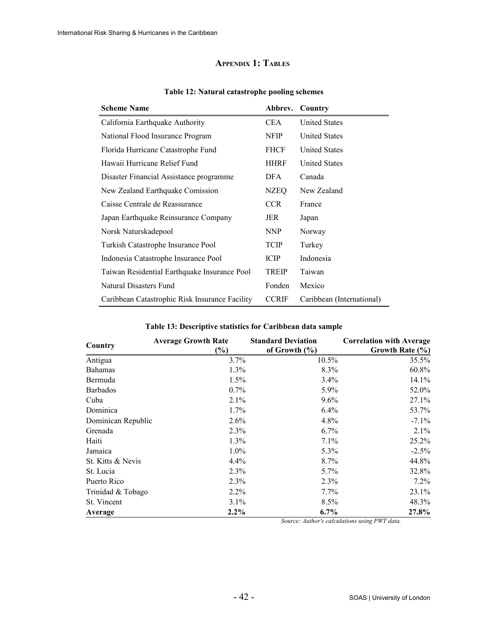## <span id="page-41-1"></span>**APPENDIX 1: TABLES**

| <b>Scheme Name</b>                             | Abbrev.      | Country                   |
|------------------------------------------------|--------------|---------------------------|
| California Earthquake Authority                | <b>CEA</b>   | <b>United States</b>      |
| National Flood Insurance Program               | <b>NFIP</b>  | <b>United States</b>      |
| Florida Hurricane Catastrophe Fund             | <b>FHCF</b>  | <b>United States</b>      |
| Hawaii Hurricane Relief Fund                   | <b>HHRF</b>  | <b>United States</b>      |
| Disaster Financial Assistance programme        | DFA          | Canada                    |
| New Zealand Earthquake Comission               | NZEQ         | New Zealand               |
| Caisse Centrale de Reassurance                 | <b>CCR</b>   | France                    |
| Japan Earthquake Reinsurance Company           | JER          | Japan                     |
| Norsk Naturskadepool                           | <b>NNP</b>   | Norway                    |
| Turkish Catastrophe Insurance Pool             | <b>TCIP</b>  | Turkey                    |
| Indonesia Catastrophe Insurance Pool           | <b>ICIP</b>  | Indonesia                 |
| Taiwan Residential Earthquake Insurance Pool   | <b>TREIP</b> | Taiwan                    |
| Natural Disasters Fund                         | Fonden       | Mexico                    |
| Caribbean Catastrophic Risk Insurance Facility | <b>CCRIF</b> | Caribbean (International) |

#### <span id="page-41-0"></span>**Table 12: Natural catastrophe pooling schemes**

|                    | <b>Average Growth Rate</b> | <b>Standard Deviation</b> | <b>Correlation with Average</b> |
|--------------------|----------------------------|---------------------------|---------------------------------|
| Country            | $(\%)$                     | of Growth $(\% )$         | Growth Rate (%)                 |
| Antigua            | 3.7%                       | 10.5%                     | 35.5%                           |
| <b>Bahamas</b>     | 1.3%                       | 8.3%                      | 60.8%                           |
| Bermuda            | 1.5%                       | 3.4%                      | 14.1%                           |
| <b>Barbados</b>    | 0.7%                       | 5.9%                      | 52.0%                           |
| Cuba               | 2.1%                       | 9.6%                      | 27.1%                           |
| Dominica           | $1.7\%$                    | 6.4%                      | 53.7%                           |
| Dominican Republic | 2.6%                       | 4.8%                      | $-7.1\%$                        |
| Grenada            | 2.3%                       | 6.7%                      | $2.1\%$                         |
| Haiti              | 1.3%                       | 7.1%                      | 25.2%                           |
| Jamaica            | $1.0\%$                    | $5.3\%$                   | $-2.5%$                         |
| St. Kitts & Nevis  | 4.4%                       | 8.7%                      | 44.8%                           |
| St. Lucia          | 2.3%                       | $5.7\%$                   | 32.8%                           |
| Puerto Rico        | 2.3%                       | 2.3%                      | 7.2%                            |
| Trinidad & Tobago  | 2.2%                       | $7.7\%$                   | 23.1%                           |
| St. Vincent        | $3.1\%$                    | 8.5%                      | 48.3%                           |
| Average            | $2.2\%$                    | $6.7\%$                   | 27.8%                           |

#### <span id="page-41-4"></span>**Table 13: Descriptive statistics for Caribbean data sample**

<span id="page-41-3"></span><span id="page-41-2"></span>*Source: Author's calculations using PWT data.*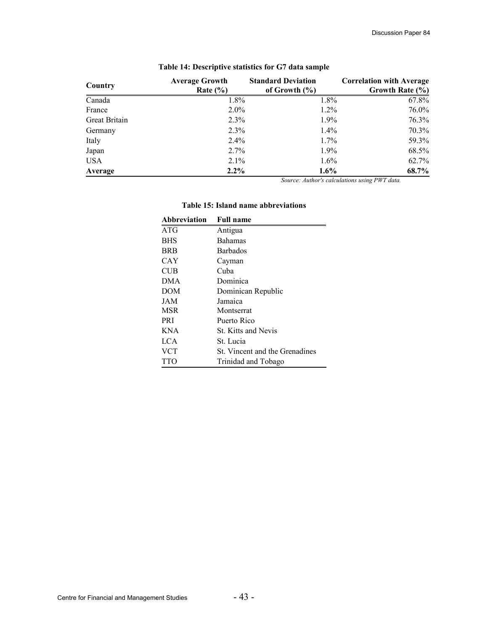| Country       | <b>Average Growth</b> | <b>Standard Deviation</b> | <b>Correlation with Average</b> |
|---------------|-----------------------|---------------------------|---------------------------------|
|               | Rate $(\% )$          | of Growth $(\% )$         | Growth Rate (%)                 |
| Canada        | $1.8\%$               | $1.8\%$                   | 67.8%                           |
| France        | $2.0\%$               | $1.2\%$                   | 76.0%                           |
| Great Britain | 2.3%                  | $1.9\%$                   | 76.3%                           |
| Germany       | 2.3%                  | $1.4\%$                   | 70.3%                           |
| Italy         | $2.4\%$               | $1.7\%$                   | 59.3%                           |
| Japan         | $2.7\%$               | $1.9\%$                   | 68.5%                           |
| <b>USA</b>    | 2.1%                  | $1.6\%$                   | 62.7%                           |
| Average       | $2.2\%$               | $1.6\%$                   | 68.7%                           |

## <span id="page-42-1"></span>**Table 14: Descriptive statistics for G7 data sample**

<span id="page-42-0"></span>*Source: Author's calculations using PWT data.*

| Abbreviation | <b>Full name</b>               |
|--------------|--------------------------------|
| ATG          | Antigua                        |
| <b>BHS</b>   | <b>Bahamas</b>                 |
| <b>BRB</b>   | <b>Barbados</b>                |
| CAY          | Cayman                         |
| <b>CUB</b>   | Cuba                           |
| <b>DMA</b>   | Dominica                       |
| DOM          | Dominican Republic             |
| JAM          | Jamaica                        |
| <b>MSR</b>   | Montserrat                     |
| <b>PRI</b>   | Puerto Rico                    |
| <b>KNA</b>   | <b>St. Kitts and Nevis</b>     |
| LCA          | St. Lucia                      |
| <b>VCT</b>   | St. Vincent and the Grenadines |
| <b>TTO</b>   | Trinidad and Tobago            |

#### **Table 15: Island name abbreviations**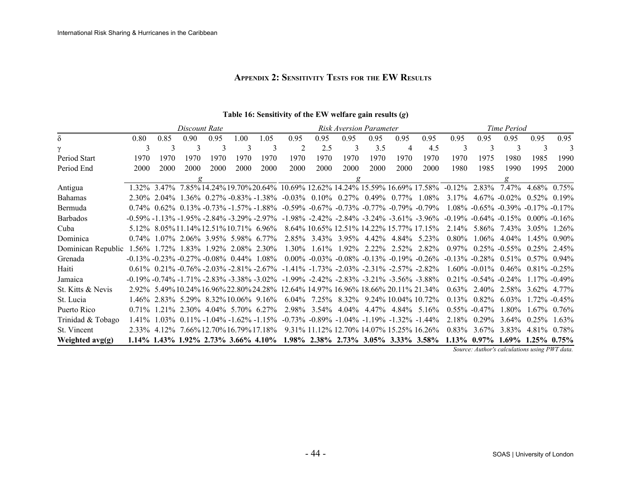## **APPENDIX 2: SENSITIVITY TESTS FOR THE EW RESULTS**

|                    |          |      | Discount Rate |                                              |      |                                                   |                                                                                                                       | Risk Aversion Parameter |          |                                                             |       |                                                             |                                                                                               | Time Period              |                                          |                 |                   |  |
|--------------------|----------|------|---------------|----------------------------------------------|------|---------------------------------------------------|-----------------------------------------------------------------------------------------------------------------------|-------------------------|----------|-------------------------------------------------------------|-------|-------------------------------------------------------------|-----------------------------------------------------------------------------------------------|--------------------------|------------------------------------------|-----------------|-------------------|--|
| δ                  | 0.80     | 0.85 | 0.90          | 0.95                                         | 1.00 | 1.05                                              | 0.95                                                                                                                  | 0.95                    | 0.95     | 0.95                                                        | 0.95  | 0.95                                                        | 0.95                                                                                          | 0.95                     | 0.95                                     | 0.95            | 0.95              |  |
|                    | 3        | 3    | 3             | 3                                            | 3    | 3                                                 | 2                                                                                                                     | 2.5                     | 3        | 3.5                                                         | 4     | 4.5                                                         | 3                                                                                             | 3                        | 3                                        | 3               | 3                 |  |
| Period Start       | 1970     | 1970 | 1970          | 1970                                         | 1970 | 1970                                              | 1970                                                                                                                  | 1970                    | 1970     | 1970                                                        | 1970  | 1970                                                        | 1970                                                                                          | 1975                     | 1980                                     | 1985            | 1990              |  |
| Period End         | 2000     | 2000 | 2000          | 2000                                         | 2000 | 2000                                              | 2000                                                                                                                  | 2000                    | 2000     | 2000                                                        | 2000  | 2000                                                        | 1980                                                                                          | 1985                     | 1990                                     | 1995            | 2000              |  |
|                    |          |      | $\sigma$      |                                              |      |                                                   |                                                                                                                       |                         | g        |                                                             |       |                                                             |                                                                                               |                          | $\sigma$                                 |                 |                   |  |
| Antigua            |          |      |               |                                              |      |                                                   |                                                                                                                       |                         |          |                                                             |       |                                                             | 1.32% 3.47% 7.85% 14.24% 19.70% 20.64% 10.69% 12.62% 14.24% 15.59% 16.69% 17.58% -0.12% 2.83% |                          | 7.47%                                    |                 | $4.68\%$ 0.75%    |  |
| <b>Bahamas</b>     |          |      |               |                                              |      |                                                   | 2.30% 2.04% 1.36% 0.27% -0.83% -1.38% -0.03% 0.10% 0.27% 0.49% 0.77%                                                  |                         |          |                                                             |       | 1.08%                                                       |                                                                                               |                          | $3.17\%$ 4.67% -0.02% 0.52% 0.19%        |                 |                   |  |
| Bermuda            |          |      |               |                                              |      |                                                   | $0.74\%$ $0.62\%$ $0.13\%$ $-0.73\%$ $-1.57\%$ $-1.88\%$ $-0.59\%$ $-0.67\%$ $-0.73\%$ $-0.77\%$ $-0.79\%$ $-0.79\%$  |                         |          |                                                             |       |                                                             |                                                                                               |                          | $1.08\% -0.65\% -0.39\% -0.17\% -0.17\%$ |                 |                   |  |
| <b>Barbados</b>    |          |      |               |                                              |      | $-0.59\% -1.13\% -1.95\% -2.84\% -3.29\% -2.97\%$ |                                                                                                                       |                         |          |                                                             |       | $-1.98\%$ $-2.42\%$ $-2.84\%$ $-3.24\%$ $-3.61\%$ $-3.96\%$ | $-0.19\% - 0.64\% - 0.15\%$                                                                   |                          |                                          | $0.00\%$ -0.16% |                   |  |
| Cuba               |          |      |               |                                              |      | 5.12\% 8.05\% 11.14\% 12.51\% 10.71\% 6.96\%      |                                                                                                                       |                         |          |                                                             |       | 8.64\% 10.65\% 12.51\% 14.22\% 15.77\% 17.15\%              | $2.14\%$                                                                                      | 5.86%                    | 743%                                     |                 | $3.05\%$ 1.26%    |  |
| Dominica           | $0.74\%$ |      |               | $1.07\%$ 2.06% 3.95% 5.98% 6.77%             |      |                                                   |                                                                                                                       |                         |          | 2.85% 3.43% 3.95% 4.42% 4.84%                               |       | 5 2 3 %                                                     | $0.80\%$                                                                                      | $1.06\%$                 | $4.04\%$                                 |                 | $45\%$ 0.90%      |  |
| Dominican Republic | 1.56%    |      |               | 1.72\% 1.83\% 1.92\% 2.08\% 2.30\%           |      |                                                   | $1.30\%$                                                                                                              |                         |          |                                                             |       | $1.61\%$ 1.92% 2.22% 2.52% 2.82%                            | $0.97\%$                                                                                      |                          | $0.25\%$ -0.55%                          | $0.25\%$ 2.45%  |                   |  |
| Grenada            |          |      |               |                                              |      | $-0.13\% -0.23\% -0.27\% -0.08\% -0.44\% -1.08\%$ |                                                                                                                       |                         |          |                                                             |       | $0.00\%$ -0.03% -0.08% -0.13% -0.19% -0.26%                 | $-0.13\% -0.28\% -0.51\% -0.57\% -0.94\%$                                                     |                          |                                          |                 |                   |  |
| Haiti              |          |      |               |                                              |      |                                                   | $0.61\%$ $0.21\%$ $-0.76\%$ $-2.03\%$ $-2.81\%$ $-2.67\%$ $-1.41\%$ $-1.73\%$ $-2.03\%$ $-2.31\%$ $-2.57\%$ $-2.82\%$ |                         |          |                                                             |       |                                                             |                                                                                               | $1.60\% -0.01\%$         | $0.46\%$                                 |                 | $0.81\% - 0.25\%$ |  |
| Jamaica            |          |      |               |                                              |      |                                                   | $-0.19\% -0.74\% -1.71\% -2.83\% -3.38\% -3.02\% -1.99\% -2.42\% -2.83\% -3.21\% -3.56\% -3.88\%$                     |                         |          |                                                             |       |                                                             |                                                                                               | $0.21\% -0.54\% -0.24\%$ |                                          |                 | $117\% - 049\%$   |  |
| St. Kitts & Nevis  |          |      |               |                                              |      |                                                   | 2.92% 5.49% 10.24% 16.96% 22.80% 24.28% 12.64% 14.97% 16.96% 18.66% 20.11% 21.34%                                     |                         |          |                                                             |       |                                                             | $0.63\%$                                                                                      | 2.40 <sup>o</sup> %      | 2.58%                                    |                 | 3.62% 4.77%       |  |
| St. Lucia          |          |      |               |                                              |      | 1.46% 2.83% 5.29% 8.32%10.06% 9.16%               | $6.04\%$                                                                                                              |                         |          | 7.25% 8.32% 9.24% 10.04% 10.72%                             |       |                                                             | $0.13\%$                                                                                      | $0.82\%$                 | $6.03\%$                                 |                 | $1.72\% - 0.45\%$ |  |
| Puerto Rico        | $0.71\%$ |      |               | $21\%$ 2 30\% 4 04\% 5 70\% 6 27\%           |      |                                                   | 2.98%                                                                                                                 | 3.54%                   | $4.04\%$ | 4.47%                                                       | 4.84% | 5 1 6 %                                                     |                                                                                               | $0.55\%$ -0.47%          | 1.80%                                    |                 | $67\%$ 0.76%      |  |
| Trinidad & Tobago  | $1.41\%$ |      |               |                                              |      | $.03\%$ 0.11% -1.04% -1.62% -1.15%                |                                                                                                                       |                         |          | $-0.73\%$ $-0.89\%$ $-1.04\%$ $-1.19\%$ $-1.32\%$ $-1.44\%$ |       |                                                             | 2.18%                                                                                         | $0.29\%$                 | $3.64\%$                                 | $0.25\%$        | $1.63\%$          |  |
| St. Vincent        |          |      |               | 2.33\% 4.12\% 7.66\% 12.70\% 16.79\% 17.18\% |      |                                                   |                                                                                                                       |                         |          | 9.31% 11.12% 12.70% 14.07% 15.25% 16.26%                    |       |                                                             | $0.83\%$                                                                                      | 3.67 <sup>%</sup>        | 3.83%                                    |                 | 4.81\% 0.78\%     |  |
| Weighted avg(g)    |          |      |               |                                              |      | $1.14\%$ 1.43% 1.92% 2.73% 3.66% 4.10%            |                                                                                                                       |                         |          |                                                             |       |                                                             | 1.98% 2.38% 2.73% 3.05% 3.33% 3.58% 1.13% 0.97% 1.69% 1.25% 0.75%                             |                          |                                          |                 |                   |  |

#### <span id="page-43-1"></span><span id="page-43-0"></span>**Table 16: Sensitivity of the EW welfare gain results (***g***)**

*Source: Author's calculations using PWT data.*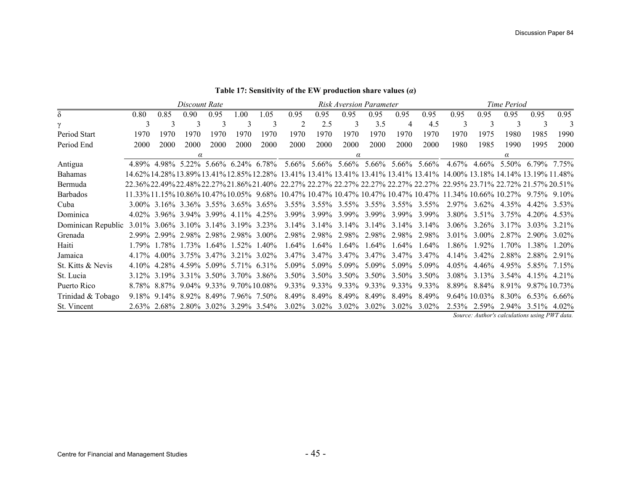|                    |      |                                           | Discount Rate |      |      |      | Risk Aversion Parameter                                                                                             |                   |                |          |          |                                                                   |       | Time Period                |          |                                                               |                |
|--------------------|------|-------------------------------------------|---------------|------|------|------|---------------------------------------------------------------------------------------------------------------------|-------------------|----------------|----------|----------|-------------------------------------------------------------------|-------|----------------------------|----------|---------------------------------------------------------------|----------------|
| $\delta$           | 0.80 | 0.85                                      | 0.90          | 0.95 | 1.00 | 1.05 | 0.95                                                                                                                | 0.95              | 0.95           | 0.95     | 0.95     | 0.95                                                              | 0.95  | 0.95                       | 0.95     | 0.95                                                          | 0.95           |
| $\mathcal{V}$      | 3    | 3                                         | 3             | 3    |      | 3    |                                                                                                                     | 2.5               | 3              | 3.5      | 4        | 4.5                                                               | 3     | 3                          | 3        | 3                                                             |                |
| Period Start       | 1970 | 1970                                      | 1970          | 1970 | 1970 | 1970 | 1970                                                                                                                | 1970              | 1970           | 1970     | 1970     | 1970                                                              | 1970  | 1975                       | 1980     | 1985                                                          | 1990           |
| Period End         | 2000 | 2000                                      | 2000          | 2000 | 2000 | 2000 | 2000                                                                                                                | 2000              | 2000           | 2000     | 2000     | 2000                                                              | 1980  | 1985                       | 1990     | 1995                                                          | 2000           |
|                    |      |                                           | $\alpha$      |      |      |      |                                                                                                                     |                   | $\alpha$       |          |          |                                                                   |       |                            | $\alpha$ |                                                               |                |
| Antigua            |      | 4.89% 4.98% 5.22% 5.66% 6.24% 6.78%       |               |      |      |      |                                                                                                                     |                   |                |          |          | 5.66% 5.66% 5.66% 5.66% 5.66% 5.66% 4.67% 4.66% 5.50% 6.79% 7.75% |       |                            |          |                                                               |                |
| <b>Bahamas</b>     |      |                                           |               |      |      |      | 14.62% 14.28% 13.89% 13.41% 12.85% 12.28% 13.41% 13.41% 13.41% 13.41% 13.41% 14.00% 13.18% 14.14% 13.19% 11.48%     |                   |                |          |          |                                                                   |       |                            |          |                                                               |                |
| Bermuda            |      |                                           |               |      |      |      | 22.36%22.49%22.48%22.27%21.86%21.40%_22.27%_22.27%_22.27%_22.27%_22.27%_22.27%_22.95%_23.71%_22.72%_21.57%_20.51%   |                   |                |          |          |                                                                   |       |                            |          |                                                               |                |
| <b>Barbados</b>    |      |                                           |               |      |      |      | 11.33% 11.15% 10.86% 10.47% 10.05% 9.68% 10.47% 10.47% 10.47% 10.47% 10.47% 10.47% 11.34% 10.66% 10.27% 9.75% 9.10% |                   |                |          |          |                                                                   |       |                            |          |                                                               |                |
| Cuba               |      | 3.00% 3.16% 3.36% 3.55% 3.65% 3.65%       |               |      |      |      |                                                                                                                     |                   |                |          |          | 3.55% 3.55% 3.55% 3.55% 3.55% 3.55% 2.97% 3.62% 4.35%             |       |                            |          | 4.42% 3.53%                                                   |                |
| Dominica           |      | 4.02\% 3.96\% 3.94\% 3.99\% 4.11\% 4.25\% |               |      |      |      |                                                                                                                     |                   |                |          |          | 3.99% 3.99% 3.99% 3.99% 3.99% 3.99%                               |       | 3.80\% 3.51\% 3.75\%       |          | $4.20\%$ 4.53%                                                |                |
| Dominican Republic |      | 3.01\% 3.06\% 3.10\% 3.14\% 3.19\% 3.23\% |               |      |      |      |                                                                                                                     |                   |                |          |          | $3.14\%$ $3.14\%$ $3.14\%$ $3.14\%$ $3.14\%$ $3.14\%$ $3.14\%$    |       | $3.06\%$ $3.26\%$ $3.17\%$ |          | 3.03% 3.21%                                                   |                |
| Grenada            |      | 2.99% 2.99% 2.98% 2.98% 2.98% 3.00%       |               |      |      |      |                                                                                                                     | 2.98% 2.98% 2.98% |                |          |          | 2.98% 2.98% 2.98%                                                 |       | $3.01\%$ 3.00%             | 2.87%    | 2.90% 3.02%                                                   |                |
| Haiti              |      | 1 79\% 1 78\% 1 73\% 1 64\% 1 52\% 1 40\% |               |      |      |      | $1.64\%$                                                                                                            | $1.64\%$          | $1.64\%$       | $1.64\%$ | $1.64\%$ | $1.64\%$                                                          | 1.86% | $1.92\%$                   | 170%     | 1 38%                                                         | $1.20\%$       |
| Jamaica            |      | 4.17% 4.00% 3.75% 3.47% 3.21% 3.02%       |               |      |      |      |                                                                                                                     | 3.47% 3.47% 3.47% |                |          |          | 3.47% 3.47% 3.47%                                                 |       | $4.14\%$ 3.42\%            |          | 2.88% 2.88% 2.91%                                             |                |
| St. Kitts & Nevis  |      | 4.10% 4.28% 4.59% 5.09% 5.71% 6.31%       |               |      |      |      |                                                                                                                     | 5.09% 5.09% 5.09% |                |          |          | $5.09\%$ 5.09% 5.09%                                              |       | $4.05\%$ 4.46% 4.95%       |          | 5.85% 7.15%                                                   |                |
| St. Lucia          |      | 3.12\% 3.19\% 3.31\% 3.50\% 3.70\% 3.86\% |               |      |      |      | $3.50\%$                                                                                                            |                   | $3.50\%$ 3.50% | 3.50%    |          | $3.50\%$ 3.50%                                                    |       | $3.08\%$ $3.13\%$ $3.54\%$ |          | 4.15% 4.21%                                                   |                |
| Puerto Rico        |      | 8.78% 8.87% 9.04% 9.33% 9.70% 10.08%      |               |      |      |      | $9.33\%$                                                                                                            |                   | 9.33% 9.33%    | 9.33%    |          | 9.33% 9.33%                                                       |       | $8.89\%$ $8.84\%$          | 891%     |                                                               | 9.87% 10.73%   |
| Trinidad & Tobago  |      | 9.18% 9.14% 8.92% 8.49% 7.96% 7.50%       |               |      |      |      | 8.49%                                                                                                               | 8.49%             | 8.49%          | 8.49%    |          | 8.49% 8.49%                                                       |       | $9.64\%$ 10.03%            | 8.30%    |                                                               | $6.53\%$ 6.66% |
| St. Vincent        |      | 2.63% 2.68% 2.80% 3.02% 3.29% 3.54%       |               |      |      |      | $3.02\%$                                                                                                            | $3.02\%$          | $3.02\%$       | $3.02\%$ | $3.02\%$ | $3.02\%$                                                          |       | $2.53\%$ 2.59%             | 2.94%    | 3.51\% 4.02\%<br>Corneou Authoris calculations using DWT Jata |                |

#### <span id="page-44-0"></span>**Table 17: Sensitivity of the EW production share values (***α***)**

*Source: Author's calculations using PWT data.*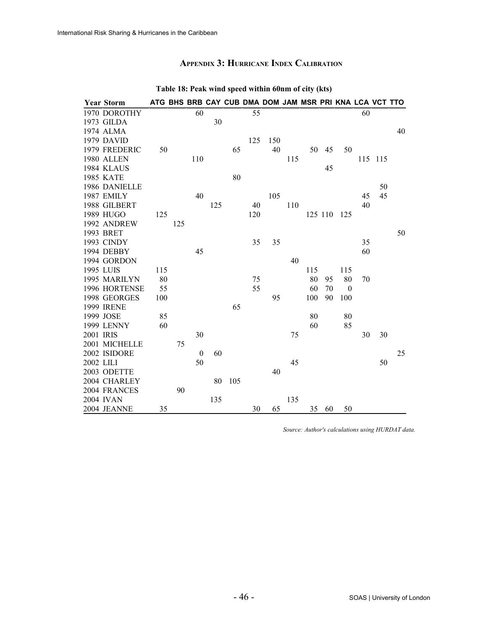## **APPENDIX 3: HURRICANE INDEX CALIBRATION**

|           | <b>Year Storm</b> | ATG BHS BRB CAY CUB DMA DOM JAM MSR PRI KNA LCA VCT TTO |     |                  |     |     |     |     |     |     |         |              |    |         |    |
|-----------|-------------------|---------------------------------------------------------|-----|------------------|-----|-----|-----|-----|-----|-----|---------|--------------|----|---------|----|
|           | 1970 DOROTHY      |                                                         |     | 60               |     |     | 55  |     |     |     |         |              | 60 |         |    |
|           | 1973 GILDA        |                                                         |     |                  | 30  |     |     |     |     |     |         |              |    |         |    |
|           | 1974 ALMA         |                                                         |     |                  |     |     |     |     |     |     |         |              |    |         | 40 |
|           | 1979 DAVID        |                                                         |     |                  |     |     | 125 | 150 |     |     |         |              |    |         |    |
|           | 1979 FREDERIC     | 50                                                      |     |                  |     | 65  |     | 40  |     | 50  | 45      | 50           |    |         |    |
|           | 1980 ALLEN        |                                                         |     | 110              |     |     |     |     | 115 |     |         |              |    | 115 115 |    |
|           | 1984 KLAUS        |                                                         |     |                  |     |     |     |     |     |     | 45      |              |    |         |    |
|           | <b>1985 KATE</b>  |                                                         |     |                  |     | 80  |     |     |     |     |         |              |    |         |    |
|           | 1986 DANIELLE     |                                                         |     |                  |     |     |     |     |     |     |         |              |    | 50      |    |
|           | 1987 EMILY        |                                                         |     | 40               |     |     |     | 105 |     |     |         |              | 45 | 45      |    |
|           | 1988 GILBERT      |                                                         |     |                  | 125 |     | 40  |     | 110 |     |         |              | 40 |         |    |
|           | 1989 HUGO         | 125                                                     |     |                  |     |     | 120 |     |     |     | 125 110 | 125          |    |         |    |
|           | 1992 ANDREW       |                                                         | 125 |                  |     |     |     |     |     |     |         |              |    |         |    |
|           | 1993 BRET         |                                                         |     |                  |     |     |     |     |     |     |         |              |    |         | 50 |
|           | 1993 CINDY        |                                                         |     |                  |     |     | 35  | 35  |     |     |         |              | 35 |         |    |
|           | 1994 DEBBY        |                                                         |     | 45               |     |     |     |     |     |     |         |              | 60 |         |    |
|           | 1994 GORDON       |                                                         |     |                  |     |     |     |     | 40  |     |         |              |    |         |    |
|           | 1995 LUIS         | 115                                                     |     |                  |     |     |     |     |     | 115 |         | 115          |    |         |    |
|           | 1995 MARILYN      | 80                                                      |     |                  |     |     | 75  |     |     | 80  | 95      | 80           | 70 |         |    |
|           | 1996 HORTENSE     | 55                                                      |     |                  |     |     | 55  |     |     | 60  | 70      | $\mathbf{0}$ |    |         |    |
|           | 1998 GEORGES      | 100                                                     |     |                  |     |     |     | 95  |     | 100 | 90      | 100          |    |         |    |
|           | <b>1999 IRENE</b> |                                                         |     |                  |     | 65  |     |     |     |     |         |              |    |         |    |
|           | 1999 JOSE         | 85                                                      |     |                  |     |     |     |     |     | 80  |         | 80           |    |         |    |
|           | 1999 LENNY        | 60                                                      |     |                  |     |     |     |     |     | 60  |         | 85           |    |         |    |
| 2001 IRIS |                   |                                                         |     | 30               |     |     |     |     | 75  |     |         |              | 30 | 30      |    |
|           | 2001 MICHELLE     |                                                         | 75  |                  |     |     |     |     |     |     |         |              |    |         |    |
|           | 2002 ISIDORE      |                                                         |     | $\boldsymbol{0}$ | 60  |     |     |     |     |     |         |              |    |         | 25 |
| 2002 LILI |                   |                                                         |     | 50               |     |     |     |     | 45  |     |         |              |    | 50      |    |
|           | 2003 ODETTE       |                                                         |     |                  |     |     |     | 40  |     |     |         |              |    |         |    |
|           | 2004 CHARLEY      |                                                         |     |                  | 80  | 105 |     |     |     |     |         |              |    |         |    |
|           | 2004 FRANCES      |                                                         | 90  |                  |     |     |     |     |     |     |         |              |    |         |    |
|           | 2004 IVAN         |                                                         |     |                  | 135 |     |     |     | 135 |     |         |              |    |         |    |
|           | 2004 JEANNE       | 35                                                      |     |                  |     |     | 30  | 65  |     | 35  | 60      | 50           |    |         |    |

#### <span id="page-45-0"></span>**Table 18: Peak wind speed within 60nm of city (kts)**

*Source: Author's calculations using HURDAT data.*